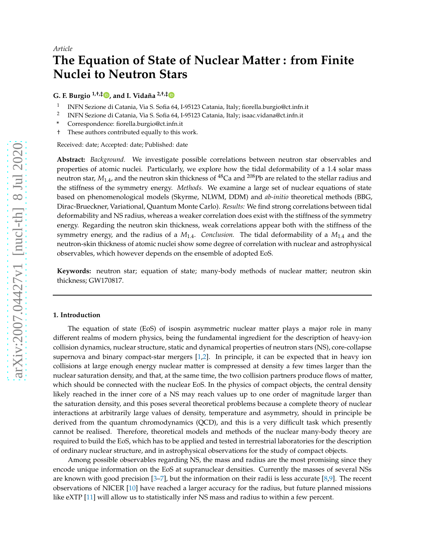# **The Equation of State of Nuclear Matter : from Finite Nuclei to Neutron Stars**

**G. F. Burgio 1,†,‡ [,](https://orcid.org/0000-0003-2195-5693) and I. Vidaña 2,†,[‡](https://orcid.org/0000-0001-7930-9112)**

- 1 INFN Sezione di Catania, Via S. Sofia 64, I-95123 Catania, Italy; fiorella.burgio@ct.infn.it
- 2 INFN Sezione di Catania, Via S. Sofia 64, I-95123 Catania, Italy; isaac.vidana@ct.infn.it
- **\*** Correspondence: fiorella.burgio@ct.infn.it
- † These authors contributed equally to this work.

Received: date; Accepted: date; Published: date

**Abstract:** *Background.* We investigate possible correlations between neutron star observables and properties of atomic nuclei. Particularly, we explore how the tidal deformability of a 1.4 solar mass neutron star,  $M_{1,4}$ , and the neutron skin thickness of  $^{48}$ Ca and  $^{208}$ Pb are related to the stellar radius and the stiffness of the symmetry energy. *Methods.* We examine a large set of nuclear equations of state based on phenomenological models (Skyrme, NLWM, DDM) and *ab-initio* theoretical methods (BBG, Dirac-Brueckner, Variational, Quantum Monte Carlo). *Results:* We find strong correlations between tidal deformability and NS radius, whereas a weaker correlation does exist with the stiffness of the symmetry energy. Regarding the neutron skin thickness, weak correlations appear both with the stiffness of the symmetry energy, and the radius of a  $M_{1.4}$ . *Conclusion*. The tidal deformability of a  $M_{1.4}$  and the neutron-skin thickness of atomic nuclei show some degree of correlation with nuclear and astrophysical observables, which however depends on the ensemble of adopted EoS.

**Keywords:** neutron star; equation of state; many-body methods of nuclear matter; neutron skin thickness; GW170817.

#### **1. Introduction**

The equation of state (EoS) of isospin asymmetric nuclear matter plays a major role in many different realms of modern physics, being the fundamental ingredient for the description of heavy-ion collision dynamics, nuclear structure, static and dynamical properties of neutron stars (NS), core-collapse supernova and binary compact-star mergers [\[1](#page-16-0)[,2](#page-16-1)]. In principle, it can be expected that in heavy ion collisions at large enough energy nuclear matter is compressed at density a few times larger than the nuclear saturation density, and that, at the same time, the two collision partners produce flows of matter, which should be connected with the nuclear EoS. In the physics of compact objects, the central density likely reached in the inner core of a NS may reach values up to one order of magnitude larger than the saturation density, and this poses several theoretical problems because a complete theory of nuclear interactions at arbitrarily large values of density, temperature and asymmetry, should in principle be derived from the quantum chromodynamics (QCD), and this is a very difficult task which presently cannot be realised. Therefore, theoretical models and methods of the nuclear many-body theory are required to build the EoS, which has to be applied and tested in terrestrial laboratories for the description of ordinary nuclear structure, and in astrophysical observations for the study of compact objects.

Among possible observables regarding NS, the mass and radius are the most promising since they encode unique information on the EoS at supranuclear densities. Currently the masses of several NSs are known with good precision [\[3](#page-16-2)[–7](#page-16-3)], but the information on their radii is less accurate [\[8](#page-16-4)[,9\]](#page-16-5). The recent observations of NICER [\[10\]](#page-16-6) have reached a larger accuracy for the radius, but future planned missions like eXTP [\[11\]](#page-16-7) will allow us to statistically infer NS mass and radius to within a few percent.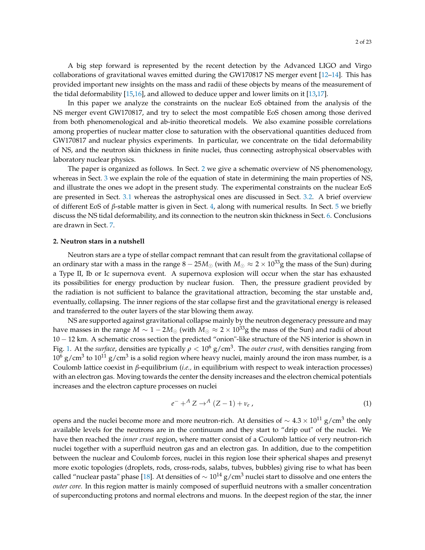A big step forward is represented by the recent detection by the Advanced LIGO and Virgo collaborations of gravitational waves emitted during the GW170817 NS merger event [\[12](#page-16-8)[–14\]](#page-16-9). This has provided important new insights on the mass and radii of these objects by means of the measurement of the tidal deformability [\[15](#page-16-10)[,16](#page-16-11)], and allowed to deduce upper and lower limits on it [\[13](#page-16-12)[,17](#page-16-13)].

In this paper we analyze the constraints on the nuclear EoS obtained from the analysis of the NS merger event GW170817, and try to select the most compatible EoS chosen among those derived from both phenomenological and ab-initio theoretical models. We also examine possible correlations among properties of nuclear matter close to saturation with the observational quantities deduced from GW170817 and nuclear physics experiments. In particular, we concentrate on the tidal deformability of NS, and the neutron skin thickness in finite nuclei, thus connecting astrophysical observables with laboratory nuclear physics.

The paper is organized as follows. In Sect. [2](#page-1-0) we give a schematic overview of NS phenomenology, whereas in Sect. [3](#page-3-0) we explain the role of the equation of state in determining the main properties of NS, and illustrate the ones we adopt in the present study. The experimental constraints on the nuclear EoS are presented in Sect. [3.1](#page-4-0) whereas the astrophysical ones are discussed in Sect. [3.2.](#page-5-0) A brief overview of different EoS of *β*-stable matter is given in Sect. [4,](#page-7-0) along with numerical results. In Sect. [5](#page-11-0) we briefly discuss the NS tidal deformability, and its connection to the neutron skin thickness in Sect. [6.](#page-13-0) Conclusions are drawn in Sect. [7.](#page-15-0)

#### <span id="page-1-0"></span>**2. Neutron stars in a nutshell**

Neutron stars are a type of stellar compact remnant that can result from the gravitational collapse of an ordinary star with a mass in the range  $8 - 25M_{\odot}$  (with  $M_{\odot} \approx 2 \times 10^{33}$ g the mass of the Sun) during a Type II, Ib or Ic supernova event. A supernova explosion will occur when the star has exhausted its possibilities for energy production by nuclear fusion. Then, the pressure gradient provided by the radiation is not sufficient to balance the gravitational attraction, becoming the star unstable and, eventually, collapsing. The inner regions of the star collapse first and the gravitational energy is released and transferred to the outer layers of the star blowing them away.

NS are supported against gravitational collapse mainly by the neutron degeneracy pressure and may have masses in the range  $M \sim 1 - 2M_{\odot}$  (with  $M_{\odot} \approx 2 \times 10^{33}$ g the mass of the Sun) and radii of about 10 − 12 km. A schematic cross section the predicted "onion"-like structure of the NS interior is shown in Fig. [1.](#page-2-0) At the *surface*, densities are typically  $\rho < 10^6$  g/cm<sup>3</sup>. The *outer crust*, with densities ranging from  $10^6$  g/cm<sup>3</sup> to  $10^{11}$  g/cm<sup>3</sup> is a solid region where heavy nuclei, mainly around the iron mass number, is a Coulomb lattice coexist in *β*-equilibrium (*i.e.,* in equilibrium with respect to weak interaction processes) with an electron gas. Moving towards the center the density increases and the electron chemical potentials increases and the electron capture processes on nuclei

$$
e^- + ^AZ \rightarrow ^A (Z-1) + \nu_e \,, \tag{1}
$$

opens and the nuclei become more and more neutron-rich. At densities of  $\sim 4.3 \times 10^{11}$  g/cm<sup>3</sup> the only available levels for the neutrons are in the continuum and they start to "drip out" of the nuclei. We have then reached the *inner crust* region, where matter consist of a Coulomb lattice of very neutron-rich nuclei together with a superfluid neutron gas and an electron gas. In addition, due to the competition between the nuclear and Coulomb forces, nuclei in this region lose their spherical shapes and presenyt more exotic topologies (droplets, rods, cross-rods, salabs, tubves, bubbles) giving rise to what has been called "nuclear pasta" phase [\[18](#page-16-14)]. At densities of  $\sim 10^{14}$  g/cm<sup>3</sup> nuclei start to dissolve and one enters the *outer core*. In this region matter is mainly composed of superfluid neutrons with a smaller concentration of superconducting protons and normal electrons and muons. In the deepest region of the star, the inner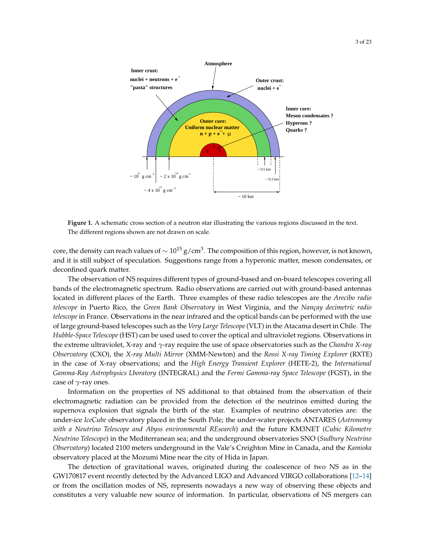<span id="page-2-0"></span>

**Figure 1.** A schematic cross section of a neutron star illustrating the various regions discussed in the text. The different regions shown are not drawn on scale.

core, the density can reach values of  $\sim 10^{15}\,{\rm g}/{\rm cm}^3.$  The composition of this region, however, is not known, and it is still subject of speculation. Suggestions range from a hyperonic matter, meson condensates, or deconfined quark matter.

The observation of NS requires different types of ground-based and on-board telescopes covering all bands of the electromagnetic spectrum. Radio observations are carried out with ground-based antennas located in different places of the Earth. Three examples of these radio telescopes are the *Arecibo radio telescope* in Puerto Rico, the *Green Bank Observatory* in West Virginia, and the *Nançay decimetric radio telescope* in France. Observations in the near infrared and the optical bands can be performed with the use of large ground-based telescopes such as the *Very Large Telescope*(VLT) in the Atacama desert in Chile. The *Hubble-Space Telescope* (HST) can be used used to cover the optical and ultraviolet regions. Observations in the extreme ultraviolet, X-ray and *γ*-ray require the use of space observatories such as the *Chandra X-ray Observatory* (CXO), the *X-ray Multi Mirror* (XMM-Newton) and the *Rossi X-ray Timing Explorer* (RXTE) in the case of X-ray observations; and the *High Energy Transient Explorer* (HETE-2), the *International Gamma-Ray Astrophysics Lboratory* (INTEGRAL) and the *Fermi Gamma-ray Space Telescope* (FGST), in the case of *γ*-ray ones.

Information on the properties of NS additional to that obtained from the observation of their electromagnetic radiation can be provided from the detection of the neutrinos emitted during the supernova explosion that signals the birth of the star. Examples of neutrino observatories are: the under-ice *IceCube* observatory placed in the South Pole; the under-water projects ANTARES (*Astronomy with a Neutrino Telescope and Abyss environmental REsearch*) and the future KM3NET (*Cubic Kilometre Neutrino Telescope*) in the Mediterranean sea; and the underground observatories SNO (*Sudbury Neutrino Observatory*) located 2100 meters underground in the Vale's Creighton Mine in Canada, and the *Kamioka* observatory placed at the Mozumi Mine near the city of Hida in Japan.

The detection of gravitational waves, originated during the coalescence of two NS as in the GW170817 event recently detected by the Advanced LIGO and Advanced VIRGO collaborations [\[12](#page-16-8)[–14](#page-16-9)] or from the oscillation modes of NS, represents nowadays a new way of observing these objects and constitutes a very valuable new source of information. In particular, observations of NS mergers can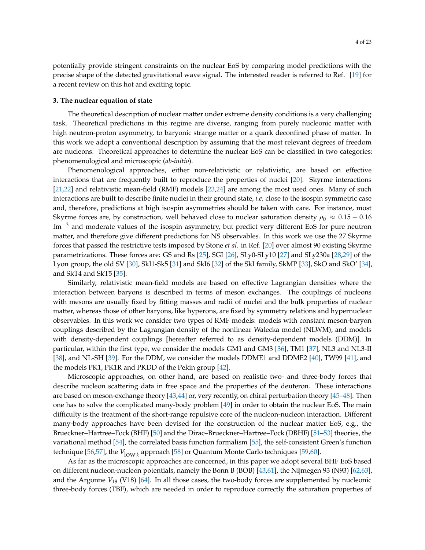potentially provide stringent constraints on the nuclear EoS by comparing model predictions with the precise shape of the detected gravitational wave signal. The interested reader is referred to Ref. [\[19\]](#page-16-15) for a recent review on this hot and exciting topic.

#### <span id="page-3-0"></span>**3. The nuclear equation of state**

The theoretical description of nuclear matter under extreme density conditions is a very challenging task. Theoretical predictions in this regime are diverse, ranging from purely nucleonic matter with high neutron-proton asymmetry, to baryonic strange matter or a quark deconfined phase of matter. In this work we adopt a conventional description by assuming that the most relevant degrees of freedom are nucleons. Theoretical approaches to determine the nuclear EoS can be classified in two categories: phenomenological and microscopic (*ab-initio*).

Phenomenological approaches, either non-relativistic or relativistic, are based on effective interactions that are frequently built to reproduce the properties of nuclei [\[20](#page-16-16)]. Skyrme interactions [\[21](#page-17-0)[,22](#page-17-1)] and relativistic mean-field (RMF) models [\[23](#page-17-2)[,24\]](#page-17-3) are among the most used ones. Many of such interactions are built to describe finite nuclei in their ground state, *i.e.* close to the isospin symmetric case and, therefore, predictions at high isospin asymmetries should be taken with care. For instance, most Skyrme forces are, by construction, well behaved close to nuclear saturation density  $\rho_0 \approx 0.15 - 0.16$ fm−<sup>3</sup> and moderate values of the isospin asymmetry, but predict very different EoS for pure neutron matter, and therefore give different predictions for NS observables. In this work we use the 27 Skyrme forces that passed the restrictive tests imposed by Stone *et al.* in Ref. [\[20\]](#page-16-16) over almost 90 existing Skyrme parametrizations. These forces are: GS and Rs [\[25\]](#page-17-4), SGI [\[26\]](#page-17-5), SLy0-SLy10 [\[27\]](#page-17-6) and SLy230a [\[28](#page-17-7)[,29](#page-17-8)] of the Lyon group, the old SV [\[30\]](#page-17-9), SkI1-Sk5 [\[31](#page-17-10)] and SkI6 [\[32\]](#page-17-11) of the SkI family, SkMP [\[33](#page-17-12)], SkO and SkO' [\[34\]](#page-17-13), and SkT4 and SkT5 [\[35](#page-17-14)].

Similarly, relativistic mean-field models are based on effective Lagrangian densities where the interaction between baryons is described in terms of meson exchanges. The couplings of nucleons with mesons are usually fixed by fitting masses and radii of nuclei and the bulk properties of nuclear matter, whereas those of other baryons, like hyperons, are fixed by symmetry relations and hypernuclear observables. In this work we consider two types of RMF models: models with constant meson-baryon couplings described by the Lagrangian density of the nonlinear Walecka model (NLWM), and models with density-dependent couplings [hereafter referred to as density-dependent models (DDM)]. In particular, within the first type, we consider the models GM1 and GM3 [\[36\]](#page-17-15), TM1 [\[37](#page-17-16)], NL3 and NL3-II [\[38\]](#page-17-17), and NL-SH [\[39\]](#page-17-18). For the DDM, we consider the models DDME1 and DDME2 [\[40\]](#page-17-19), TW99 [\[41\]](#page-17-20), and the models PK1, PK1R and PKDD of the Pekin group [\[42](#page-18-0)].

Microscopic approaches, on other hand, are based on realistic two- and three-body forces that describe nucleon scattering data in free space and the properties of the deuteron. These interactions are based on meson-exchange theory [\[43](#page-18-1)[,44](#page-18-2)] or, very recently, on chiral perturbation theory [\[45](#page-18-3)[–48](#page-18-4)]. Then one has to solve the complicated many-body problem [\[49\]](#page-18-5) in order to obtain the nuclear EoS. The main difficulty is the treatment of the short-range repulsive core of the nucleon-nucleon interaction. Different many-body approaches have been devised for the construction of the nuclear matter EoS, e.g., the Brueckner–Hartree–Fock (BHF) [\[50\]](#page-18-6) and the Dirac–Brueckner–Hartree–Fock (DBHF) [\[51](#page-18-7)[–53\]](#page-18-8) theories, the variational method [\[54\]](#page-18-9), the correlated basis function formalism [\[55\]](#page-18-10), the self-consistent Green's function technique [\[56](#page-18-11)[,57](#page-18-12)], the *V*low *<sup>k</sup>* approach [\[58\]](#page-18-13) or Quantum Monte Carlo techniques [\[59](#page-18-14)[,60](#page-18-15)].

As far as the microscopic approaches are concerned, in this paper we adopt several BHF EoS based on different nucleon-nucleon potentials, namely the Bonn B (BOB) [\[43](#page-18-1)[,61](#page-18-16)], the Nijmegen 93 (N93) [\[62](#page-18-17)[,63\]](#page-18-18), and the Argonne *V*<sup>18</sup> (V18) [\[64\]](#page-18-19). In all those cases, the two-body forces are supplemented by nucleonic three-body forces (TBF), which are needed in order to reproduce correctly the saturation properties of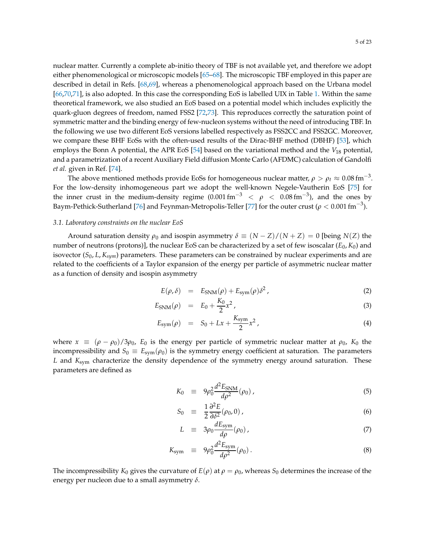nuclear matter. Currently a complete ab-initio theory of TBF is not available yet, and therefore we adopt either phenomenological or microscopic models [\[65](#page-18-20)[–68\]](#page-19-0). The microscopic TBF employed in this paper are described in detail in Refs. [\[68](#page-19-0)[,69\]](#page-19-1), whereas a phenomenological approach based on the Urbana model [\[66](#page-19-2)[,70](#page-19-3)[,71\]](#page-19-4), is also adopted. In this case the corresponding EoS is labelled UIX in Table [1.](#page-6-0) Within the same theoretical framework, we also studied an EoS based on a potential model which includes explicitly the quark-gluon degrees of freedom, named FSS2 [\[72](#page-19-5)[,73](#page-19-6)]. This reproduces correctly the saturation point of symmetric matter and the binding energy of few-nucleon systems without the need of introducing TBF. In the following we use two different EoS versions labelled respectively as FSS2CC and FSS2GC. Moreover, we compare these BHF EoSs with the often-used results of the Dirac-BHF method (DBHF) [\[53\]](#page-18-8), which employs the Bonn A potential, the APR EoS [\[54](#page-18-9)] based on the variational method and the *V*<sup>18</sup> potential, and a parametrization of a recent Auxiliary Field diffusion Monte Carlo (AFDMC) calculation of Gandolfi *et al.* given in Ref. [\[74\]](#page-19-7).

The above mentioned methods provide EoSs for homogeneous nuclear matter,  $\rho > \rho_t \approx 0.08\,{\rm fm}^{-3}.$ For the low-density inhomogeneous part we adopt the well-known Negele-Vautherin EoS [\[75\]](#page-19-8) for the inner crust in the medium-density regime  $(0.001\,\text{fm}^{-3}$   $\ < \ \rho \ < \ 0.08\,\text{fm}^{-3}$ ), and the ones by Baym-Pethick-Sutherland [\[76\]](#page-19-9) and Feynman-Metropolis-Teller [\[77](#page-19-10)] for the outer crust ( $\rho < 0.001$  fm $^{-3}$ ).

#### <span id="page-4-0"></span>*3.1. Laboratory constraints on the nuclear EoS*

Around saturation density  $\rho_0$  and isospin asymmetry  $\delta \equiv (N - Z)/(N + Z) = 0$  [being  $N(Z)$  the number of neutrons (protons)], the nuclear EoS can be characterized by a set of few isoscalar (*E*0, *K*0) and isovector (*S*0, *L*, *Ksym*) parameters. These parameters can be constrained by nuclear experiments and are related to the coefficients of a Taylor expansion of the energy per particle of asymmetric nuclear matter as a function of density and isospin asymmetry

<span id="page-4-1"></span>
$$
E(\rho, \delta) = E_{\text{SNM}}(\rho) + E_{\text{sym}}(\rho) \delta^2, \qquad (2)
$$

$$
E_{\rm SNM}(\rho) = E_0 + \frac{K_0}{2} x^2 \,, \tag{3}
$$

$$
E_{\text{sym}}(\rho) = S_0 + Lx + \frac{K_{\text{sym}}}{2}x^2, \tag{4}
$$

where  $x \equiv (\rho - \rho_0)/3\rho_0$ ,  $E_0$  is the energy per particle of symmetric nuclear matter at  $\rho_0$ ,  $K_0$  the incompressibility and  $S_0 \equiv E_{sym}(\rho_0)$  is the symmetry energy coefficient at saturation. The parameters *L* and *K*sym characterize the density dependence of the symmetry energy around saturation. These parameters are defined as

$$
K_0 \equiv 9\rho_0^2 \frac{d^2 E_{\text{SNM}}}{d\rho^2}(\rho_0) \,, \tag{5}
$$

$$
S_0 \equiv \frac{1}{2} \frac{\partial^2 E}{\partial \delta^2} (\rho_0, 0) \,, \tag{6}
$$

$$
L \equiv 3\rho_0 \frac{dE_{\text{sym}}}{d\rho}(\rho_0) \,, \tag{7}
$$

$$
K_{\rm sym} \equiv 9\rho_0^2 \frac{d^2 E_{\rm sym}}{d\rho^2} (\rho_0) \,. \tag{8}
$$

The incompressibility  $K_0$  gives the curvature of  $E(\rho)$  at  $\rho = \rho_0$ , whereas  $S_0$  determines the increase of the energy per nucleon due to a small asymmetry *δ*.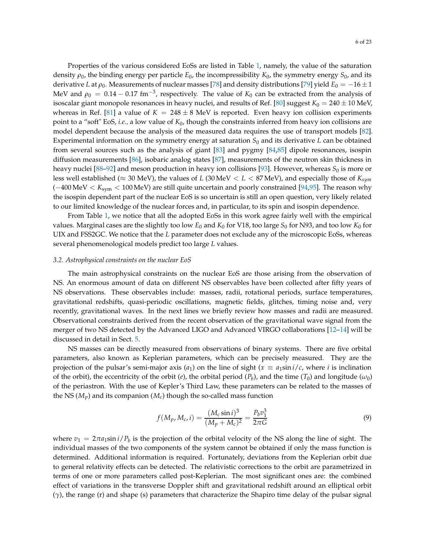Properties of the various considered EoSs are listed in Table [1,](#page-6-0) namely, the value of the saturation density *ρ*0, the binding energy per particle *E*0, the incompressibility *K*0, the symmetry energy *S*0, and its derivative *L* at  $\rho_0$ . Measurements of nuclear masses [\[78](#page-19-11)] and density distributions [\[79](#page-19-12)] yield  $E_0 = -16 \pm 1$ MeV and  $\rho_0 = 0.14 - 0.17$  fm<sup>-3</sup>, respectively. The value of  $K_0$  can be extracted from the analysis of isoscalar giant monopole resonances in heavy nuclei, and results of Ref. [\[80\]](#page-19-13) suggest  $K_0 = 240 \pm 10$  MeV, whereas in Ref. [\[81](#page-19-14)] a value of  $K = 248 \pm 8$  MeV is reported. Even heavy ion collision experiments point to a "soft" EoS, *i.e.,* a low value of *K*0, though the constraints inferred from heavy ion collisions are model dependent because the analysis of the measured data requires the use of transport models [\[82\]](#page-19-15). Experimental information on the symmetry energy at saturation *S*<sup>0</sup> and its derivative *L* can be obtained from several sources such as the analysis of giant [\[83\]](#page-19-16) and pygmy [\[84](#page-19-17)[,85\]](#page-19-18) dipole resonances, isospin diffusion measurements [\[86\]](#page-20-0), isobaric analog states [\[87](#page-20-1)], measurements of the neutron skin thickness in heavy nuclei [\[88](#page-20-2)[–92](#page-20-3)] and meson production in heavy ion collisions [\[93\]](#page-20-4). However, whereas  $S_0$  is more or less well established ( $\approx$  30 MeV), the values of *L* (30 MeV  $\lt L \lt 87$  MeV), and especially those of  $K_{sym}$ (−400 MeV < *K*sym < 100 MeV) are still quite uncertain and poorly constrained [\[94](#page-20-5)[,95](#page-20-6)]. The reason why the isospin dependent part of the nuclear EoS is so uncertain is still an open question, very likely related to our limited knowledge of the nuclear forces and, in particular, to its spin and isospin dependence.

From Table [1,](#page-6-0) we notice that all the adopted EoSs in this work agree fairly well with the empirical values. Marginal cases are the slightly too low  $E_0$  and  $K_0$  for V18, too large  $S_0$  for N93, and too low  $K_0$  for UIX and FSS2GC. We notice that the *L* parameter does not exclude any of the microscopic EoSs, whereas several phenomenological models predict too large *L* values.

#### <span id="page-5-0"></span>*3.2. Astrophysical constraints on the nuclear EoS*

The main astrophysical constraints on the nuclear EoS are those arising from the observation of NS. An enormous amount of data on different NS observables have been collected after fifty years of NS observations. These observables include: masses, radii, rotational periods, surface temperatures, gravitational redshifts, quasi-periodic oscillations, magnetic fields, glitches, timing noise and, very recently, gravitational waves. In the next lines we briefly review how masses and radii are measured. Observational constraints derived from the recent observation of the gravitational wave signal from the merger of two NS detected by the Advanced LIGO and Advanced VIRGO collaborations [\[12](#page-16-8)[–14\]](#page-16-9) will be discussed in detail in Sect. [5.](#page-11-0)

NS masses can be directly measured from observations of binary systems. There are five orbital parameters, also known as Keplerian parameters, which can be precisely measured. They are the projection of the pulsar's semi-major axis ( $a_1$ ) on the line of sight ( $x \equiv a_1 \sin i/c$ , where *i* is inclination of the orbit), the eccentricity of the orbit  $(e)$ , the orbital period  $(P_b)$ , and the time  $(T_0)$  and longitude  $(\omega_0)$ of the periastron. With the use of Kepler's Third Law, these parameters can be related to the masses of the NS  $(M_p)$  and its companion  $(M_c)$  though the so-called mass function

$$
f(M_p, M_c, i) = \frac{(M_c \sin i)^3}{(M_p + M_c)^2} = \frac{P_b v_1^3}{2\pi G}
$$
\n(9)

where  $v_1 = 2\pi a_1 \sin i / P_b$  is the projection of the orbital velocity of the NS along the line of sight. The individual masses of the two components of the system cannot be obtained if only the mass function is determined. Additional information is required. Fortunately, deviations from the Keplerian orbit due to general relativity effects can be detected. The relativistic corrections to the orbit are parametrized in terms of one or more parameters called post-Keplerian. The most significant ones are: the combined effect of variations in the transverse Doppler shift and gravitational redshift around an elliptical orbit (*γ*), the range (r) and shape (s) parameters that characterize the Shapiro time delay of the pulsar signal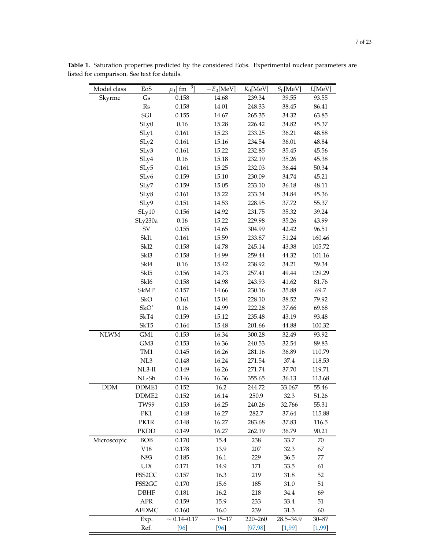| Model class | EoS                 | $\cdot$ 3<br>$\rho_0$ fm | $-E_0[\text{MeV}]$  | $K_0$ [MeV] | $S_0$ [MeV] | L[MeV]    |
|-------------|---------------------|--------------------------|---------------------|-------------|-------------|-----------|
| Skyrme      | $\sqrt{S}$          | 0.158                    | 14.68               | 239.34      | 39.55       | 93.55     |
|             | Rs                  | 0.158                    | 14.01               | 248.33      | 38.45       | 86.41     |
|             | SGI                 | 0.155                    | 14.67               | 265.35      | 34.32       | 63.85     |
|             | SLy0                | $0.16\,$                 | 15.28               | 226.42      | 34.82       | 45.37     |
|             | SLy1                | 0.161                    | 15.23               | 233.25      | 36.21       | 48.88     |
|             | SLy2                | 0.161                    | 15.16               | 234.54      | 36.01       | 48.84     |
|             | SLy3                | 0.161                    | 15.22               | 232.85      | 35.45       | 45.56     |
|             | SLy4                | $0.16\,$                 | 15.18               | 232.19      | 35.26       | 45.38     |
|             | SLy5                | 0.161                    | 15.25               | 232.03      | 36.44       | 50.34     |
|             | SLy6                | 0.159                    | 15.10               | 230.09      | 34.74       | 45.21     |
|             | SLy7                | 0.159                    | 15.05               | 233.10      | 36.18       | 48.11     |
|             | SLy8                | 0.161                    | 15.22               | 233.34      | 34.84       | 45.36     |
|             | SLy9                | 0.151                    | 14.53               | 228.95      | 37.72       | 55.37     |
|             | SLy10               | 0.156                    | 14.92               | 231.75      | 35.32       | 39.24     |
|             | SLy230a             | $0.16\,$                 | 15.22               | 229.98      | 35.26       | 43.99     |
|             | SV                  | 0.155                    | 14.65               | 304.99      | 42.42       | 96.51     |
|             | SkI1                | 0.161                    | 15.59               | 233.87      | 51.24       | 160.46    |
|             | SkI <sub>2</sub>    | 0.158                    | 14.78               | 245.14      | 43.38       | 105.72    |
|             | SkI3                | 0.158                    | 14.99               | 259.44      | 44.32       | 101.16    |
|             | SkI4                | $0.16\,$                 | 15.42               | 238.92      | 34.21       | 59.34     |
|             | SkI <sub>5</sub>    | 0.156                    | 14.73               | 257.41      | 49.44       | 129.29    |
|             | SkI <sub>6</sub>    | 0.158                    | 14.98               | 243.93      | 41.62       | 81.76     |
|             | <b>SkMP</b>         | 0.157                    | 14.66               | 230.16      | 35.88       | 69.7      |
|             | SkO                 | 0.161                    | 15.04               | 228.10      | 38.52       | 79.92     |
|             | SkO'                | $0.16\,$                 | 14.99               | 222.28      | 37.66       | 69.68     |
|             | SkT4                | 0.159                    | 15.12               | 235.48      | 43.19       | 93.48     |
|             | SkT5                | 0.164                    | 15.48               | 201.66      | 44.88       | 100.32    |
| <b>NLWM</b> | GM1                 | 0.153                    | 16.34               | 300.28      | 32.49       | 93.92     |
|             | GM3                 | 0.153                    | 16.36               | 240.53      | 32.54       | 89.83     |
|             | TM1                 | 0.145                    | 16.26               | 281.16      | 36.89       | 110.79    |
|             | NL3                 | 0.148                    | 16.24               | 271.54      | 37.4        | 118.53    |
|             | $NL3-II$            | 0.149                    | 16.26               | 271.74      | 37.70       | 119.71    |
|             | NL-Sh               | 0.146                    | 16.36               | 355.65      | 36.13       | 113.68    |
| <b>DDM</b>  | DDME <sub>1</sub>   | 0.152                    | 16.2                | 244.72      | 33.067      | 55.46     |
|             | DDME <sub>2</sub>   | 0.152                    | 16.14               | 250.9       | 32.3        | 51.26     |
|             | <b>TW99</b>         | 0.153                    | 16.25               | 240.26      | 32.766      | 55.31     |
|             | PK1                 | 0.148                    | 16.27               | 282.7       | 37.64       | 115.88    |
|             | PK1R                | 0.148                    | 16.27               | 283.68      | 37.83       | 116.5     |
|             | <b>PKDD</b>         | 0.149                    | 16.27               | 262.19      | 36.79       | 90.21     |
| Microscopic | <b>BOB</b>          | 0.170                    | 15.4                | 238         | 33.7        | 70        |
|             | V18                 | 0.178                    | 13.9                | 207         | 32.3        | 67        |
|             | N93                 | 0.185                    | 16.1                | 229         | 36.5        | 77        |
|             | $\rm UIX$           | 0.171                    | 14.9                | 171         | 33.5        | 61        |
|             | FSS2CC              | 0.157                    | 16.3                | 219         | 31.8        | 52        |
|             | FSS <sub>2</sub> GC | 0.170                    | 15.6                | 185         | 31.0        | 51        |
|             | <b>DBHF</b>         | 0.181                    | 16.2                | 218         | 34.4        | 69        |
|             | APR                 | 0.159                    | 15.9                | 233         | 33.4        | 51        |
|             | <b>AFDMC</b>        | 0.160                    | 16.0                | 239         | 31.3        | 60        |
|             | Exp.                | $\sim 0.14 - 0.17$       | $\sim15\text{--}17$ | 220-260     | 28.5-34.9   | $30 - 87$ |
|             | Ref.                | $[96]$                   | $[96]$              | [97, 98]    | [1, 99]     | [1, 99]   |

<span id="page-6-0"></span>**Table 1.** Saturation properties predicted by the considered EoSs. Experimental nuclear parameters are listed for comparison. See text for details.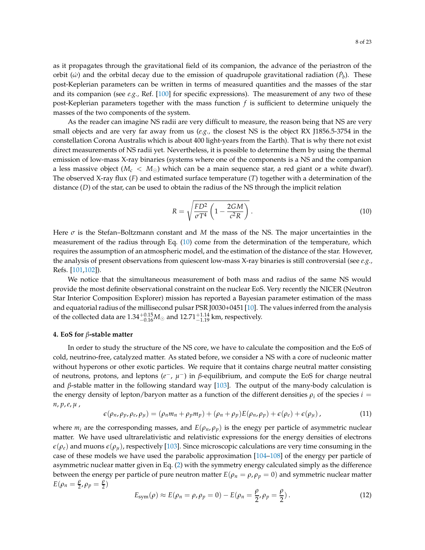as it propagates through the gravitational field of its companion, the advance of the periastron of the orbit ( $\dot{\omega}$ ) and the orbital decay due to the emission of quadrupole gravitational radiation ( $\dot{P}_b$ ). These post-Keplerian parameters can be written in terms of measured quantities and the masses of the star and its companion (see *e.g.,* Ref. [\[100\]](#page-20-11) for specific expressions). The measurement of any two of these post-Keplerian parameters together with the mass function *f* is sufficient to determine uniquely the masses of the two components of the system.

As the reader can imagine NS radii are very difficult to measure, the reason being that NS are very small objects and are very far away from us (*e.g.,* the closest NS is the object RX J1856.5-3754 in the constellation Corona Australis which is about 400 light-years from the Earth). That is why there not exist direct measurements of NS radii yet. Nevertheless, it is possible to determine them by using the thermal emission of low-mass X-ray binaries (systems where one of the components is a NS and the companion a less massive object ( $M_c < M_{\odot}$ ) which can be a main sequence star, a red giant or a white dwarf). The observed X-ray flux (*F*) and estimated surface temperature (*T*) together with a determination of the distance (*D*) of the star, can be used to obtain the radius of the NS through the implicit relation

<span id="page-7-1"></span>
$$
R = \sqrt{\frac{FD^2}{\sigma T^4} \left(1 - \frac{2GM}{c^2 R}\right)}.
$$
\n(10)

Here *σ* is the Stefan–Boltzmann constant and *M* the mass of the NS. The major uncertainties in the measurement of the radius through Eq. [\(10\)](#page-7-1) come from the determination of the temperature, which requires the assumption of an atmospheric model, and the estimation of the distance of the star. However, the analysis of present observations from quiescent low-mass X-ray binaries is still controversial (see *e.g.,* Refs. [\[101](#page-20-12)[,102\]](#page-20-13)).

We notice that the simultaneous measurement of both mass and radius of the same NS would provide the most definite observational constraint on the nuclear EoS. Very recently the NICER (Neutron Star Interior Composition Explorer) mission has reported a Bayesian parameter estimation of the mass and equatorial radius of the millisecond pulsar PSR J0030+0451 [\[10\]](#page-16-6). The values inferred from the analysis of the collected data are  $1.34^{+0.15}_{-0.16} M_{\odot}$  and  $12.71^{+1.14}_{-1.19}$  km, respectively.

#### <span id="page-7-0"></span>**4. EoS for** *β***-stable matter**

In order to study the structure of the NS core, we have to calculate the composition and the EoS of cold, neutrino-free, catalyzed matter. As stated before, we consider a NS with a core of nucleonic matter without hyperons or other exotic particles. We require that it contains charge neutral matter consisting of neutrons, protons, and leptons (*e*<sup>−</sup>, *μ*<sup>−</sup>) in *β*-equilibrium, and compute the EoS for charge neutral and  $\beta$ -stable matter in the following standard way [\[103\]](#page-20-14). The output of the many-body calculation is the energy density of lepton/baryon matter as a function of the different densities  $\rho_i$  of the species  $i =$ *n*, *p*,*e*, *µ* ,

<span id="page-7-2"></span>
$$
\epsilon(\rho_n, \rho_p, \rho_e, \rho_\mu) = (\rho_n m_n + \rho_p m_p) + (\rho_n + \rho_p) E(\rho_n, \rho_p) + \epsilon(\rho_e) + \epsilon(\rho_\mu), \qquad (11)
$$

where  $m_i$  are the corresponding masses, and  $E(\rho_n, \rho_p)$  is the enegy per particle of asymmetric nuclear matter. We have used ultrarelativistic and relativistic expressions for the energy densities of electrons  $\epsilon(\rho_e)$  and muons  $\epsilon(\rho_u)$ , respectively [\[103](#page-20-14)]. Since microscopic calculations are very time consuming in the case of these models we have used the parabolic approximation [\[104](#page-20-15)[–108\]](#page-21-0) of the energy per particle of asymmetric nuclear matter given in Eq. [\(2\)](#page-4-1) with the symmetry energy calculated simply as the difference between the energy per particle of pure neutron matter  $E(\rho_n = \rho, \rho_p = 0)$  and symmetric nuclear matter  $E(\rho_n) = \frac{\rho}{2}$  $\frac{\rho}{2}$ ,  $\rho_p = \frac{\rho}{2}$  $\frac{\mu}{2})$ 

$$
E_{\text{sym}}(\rho) \approx E(\rho_n = \rho, \rho_p = 0) - E(\rho_n = \frac{\rho}{2}, \rho_p = \frac{\rho}{2}). \tag{12}
$$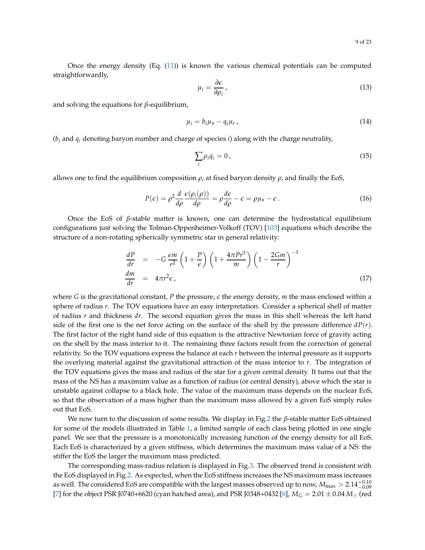Once the energy density (Eq. [\(11\)](#page-7-2)) is known the various chemical potentials can be computed straightforwardly,

$$
\mu_i = \frac{\partial \epsilon}{\partial \rho_i},\tag{13}
$$

and solving the equations for *β*-equilibrium,

$$
\mu_i = b_i \mu_n - q_i \mu_e \,, \tag{14}
$$

(*b<sup>i</sup>* and *q<sup>i</sup>* denoting baryon number and charge of species *i*) along with the charge neutrality,

$$
\sum_{i} \rho_i q_i = 0 \,, \tag{15}
$$

allows one to find the equilibrium composition  $\rho_i$  at fixed baryon density  $\rho$ , and finally the EoS,

$$
P(\epsilon) = \rho^2 \frac{d}{d\rho} \frac{\epsilon(\rho_i(\rho))}{d\rho} = \rho \frac{d\epsilon}{d\rho} - \epsilon = \rho \mu_n - \epsilon.
$$
 (16)

Once the EoS of *β*-stable matter is known, one can determine the hydrostatical equilibrium configurations just solving the Tolman-Oppenheimer-Volkoff (TOV) [\[103](#page-20-14)] equations which describe the structure of a non-rotating spherically symmetric star in general relativity:

<span id="page-8-0"></span>
$$
\frac{dP}{dr} = -G \frac{\epsilon m}{r^2} \left( 1 + \frac{P}{\epsilon} \right) \left( 1 + \frac{4\pi Pr^3}{m} \right) \left( 1 - \frac{2Gm}{r} \right)^{-1}
$$
\n
$$
\frac{dm}{dr} = 4\pi r^2 \epsilon, \tag{17}
$$

where *G* is the gravitational constant, *P* the pressure, *ǫ* the energy density, *m* the mass enclosed within a sphere of radius *r*. The TOV equations have an easy interpretation. Consider a spherical shell of matter of radius *r* and thickness *dr*. The second equation gives the mass in this shell whereas the left hand side of the first one is the net force acting on the surface of the shell by the pressure difference  $dP(r)$ . The first factor of the right hand side of this equation is the attractive Newtonian force of gravity acting on the shell by the mass interior to it. The remaining three factors result from the correction of general relativity. So the TOV equations express the balance at each *r* between the internal pressure as it supports the overlying material against the gravitational attraction of the mass interior to *r*. The integration of the TOV equations gives the mass and radius of the star for a given central density. It turns out that the mass of the NS has a maximum value as a function of radius (or central density), above which the star is unstable against collapse to a black hole. The value of the maximum mass depends on the nuclear EoS, so that the observation of a mass higher than the maximum mass allowed by a given EoS simply rules out that EoS.

We now turn to the discussion of some results. We display in Fig[.2](#page-9-0) the *β*-stable matter EoS obtained for some of the models illustrated in Table [1,](#page-6-0) a limited sample of each class being plotted in one single panel. We see that the pressure is a monotonically increasing function of the energy density for all EoS. Each EoS is characterized by a given stiffness, which determines the maximum mass value of a NS: the stiffer the EoS the larger the maximum mass predicted.

The corresponding mass-radius relation is displayed in Fig[.3.](#page-10-0) The observed trend is consistent with the EoS displayed in Fig[.2.](#page-9-0) As expected, when the EoS stiffness increases the NS maximum mass increases as well. The considered EoS are compatible with the largest masses observed up to now,  $M_{\rm max}>2.14^{+0.10}_{-0.09}$ [\[7\]](#page-16-3) for the object PSR J0740+6620 (cyan hatched area), and PSR J0348+0432 [\[6\]](#page-16-17),  $M_G = 2.01 \pm 0.04 M_{\odot}$  (red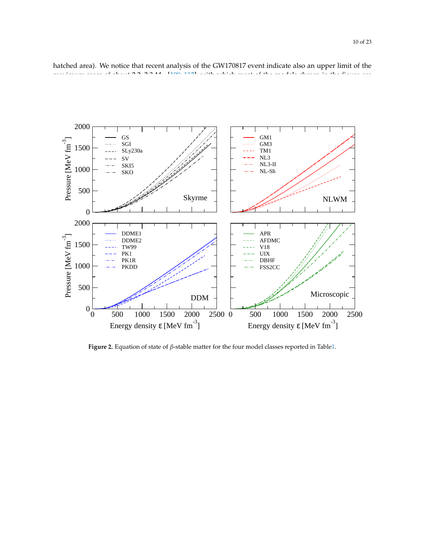<span id="page-9-0"></span>0 500 1000 1500 2000 Pressure [MeV fm<sup>-3</sup>  $\overline{\phantom{a}}$ GS SGI SLy230a SV SKI5 SKO GM1 GM3 TM1 NL3 NL3-II NL-Sh 0 500 1000 1500 2000 2500 0 Energy density ε [MeV fm-3] 0 500 1000 1500 2000 Pressure [MeV fm<sup>-3</sup> — DDME1 DDME2 TW99 PK1 PK1R PKDD 0 500 1000 1500 2000 2500 Energy density ε [MeV fm-3] APR AFDMC V18 UIX DBHF FSS2CC Skyrme NLWM DDM | Microscopic Microscopic

hatched area). We notice that recent analysis of the GW170817 event indicate also an upper limit of the maximum mass of about 2.2–2.3 minutes of the most of the figure are figure are figure are figure are figure are figure are figure are figure are figure are figure are are figure are figure are figure are figure are figure

**Figure 2.** Equation of state of *β*-stable matter for the four model classes reported in Tabl[e1.](#page-6-0)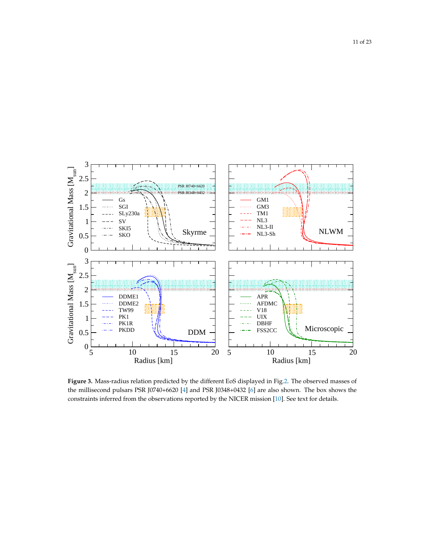<span id="page-10-0"></span>

**Figure 3.** Mass-radius relation predicted by the different EoS displayed in Fig[.2.](#page-9-0) The observed masses of the millisecond pulsars PSR J0740+6620 [\[4\]](#page-16-18) and PSR J0348+0432 [\[6](#page-16-17)] are also shown. The box shows the constraints inferred from the observations reported by the NICER mission [\[10](#page-16-6)]. See text for details.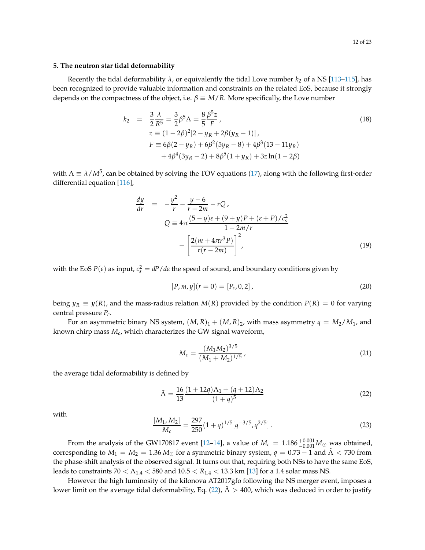# <span id="page-11-0"></span>**5. The neutron star tidal deformability**

Recently the tidal deformability  $\lambda$ , or equivalently the tidal Love number  $k_2$  of a NS [\[113](#page-21-3)[–115\]](#page-21-4), has been recognized to provide valuable information and constraints on the related EoS, because it strongly depends on the compactness of the object, i.e.  $\beta \equiv M/R$ . More specifically, the Love number

$$
k_2 = \frac{3}{2} \frac{\lambda}{R^5} = \frac{3}{2} \beta^5 \Lambda = \frac{8}{5} \frac{\beta^5 z}{F},
$$
  
\n
$$
z \equiv (1 - 2\beta)^2 [2 - y_R + 2\beta(y_R - 1)],
$$
  
\n
$$
F \equiv 6\beta(2 - y_R) + 6\beta^2(5y_R - 8) + 4\beta^3(13 - 11y_R) + 4\beta^4(3y_R - 2) + 8\beta^5(1 + y_R) + 3z \ln(1 - 2\beta)
$$
\n(18)

with  $\Lambda \equiv \lambda/M^5$ , can be obtained by solving the TOV equations [\(17\)](#page-8-0), along with the following first-order differential equation [\[116](#page-21-5)],

$$
\frac{dy}{dr} = -\frac{y^2}{r} - \frac{y - 6}{r - 2m} - rQ,
$$
\n
$$
Q = 4\pi \frac{(5 - y)\epsilon + (9 + y)P + (\epsilon + P)/c_s^2}{1 - 2m/r}
$$
\n
$$
-\left[\frac{2(m + 4\pi r^3 P)}{r(r - 2m)}\right]^2,
$$
\n(19)

with the EoS  $P(\varepsilon)$  as input,  $c_s^2 = dP/d\varepsilon$  the speed of sound, and boundary conditions given by

$$
[P,m,y](r=0) = [P_c, 0, 2],
$$
\n(20)

being  $y_R \equiv y(R)$ , and the mass-radius relation  $M(R)$  provided by the condition  $P(R) = 0$  for varying central pressure *Pc*.

For an asymmetric binary NS system,  $(M, R)_1 + (M, R)_2$ , with mass asymmetry  $q = M_2/M_1$ , and known chirp mass *Mc*, which characterizes the GW signal waveform,

$$
M_c = \frac{(M_1 M_2)^{3/5}}{(M_1 + M_2)^{1/5}},
$$
\n(21)

the average tidal deformability is defined by

<span id="page-11-1"></span>
$$
\tilde{\Lambda} = \frac{16}{13} \frac{(1+12q)\Lambda_1 + (q+12)\Lambda_2}{(1+q)^5}
$$
\n(22)

with

$$
\frac{[M_1, M_2]}{M_c} = \frac{297}{250} (1+q)^{1/5} [q^{-3/5}, q^{2/5}].
$$
\n(23)

From the analysis of the GW170817 event [\[12](#page-16-8)[–14](#page-16-9)], a value of  $M_c = 1.186^{+0.001}_{-0.001} M_{\odot}$  was obtained, corresponding to  $M_1 = M_2 = 1.36 M_{\odot}$  for a symmetric binary system,  $q = 0.73 - 1$  and  $\tilde{\Lambda} < 730$  from the phase-shift analysis of the observed signal. It turns out that, requiring both NSs to have the same EoS, leads to constraints 70 < Λ1.4 < 580 and 10.5 < *R*1.4 < 13.3 km [\[13\]](#page-16-12) for a 1.4 solar mass NS.

However the high luminosity of the kilonova AT2017gfo following the NS merger event, imposes a lower limit on the average tidal deformability, Eq. [\(22\)](#page-11-1),  $\tilde{\Lambda} > 400$ , which was deduced in order to justify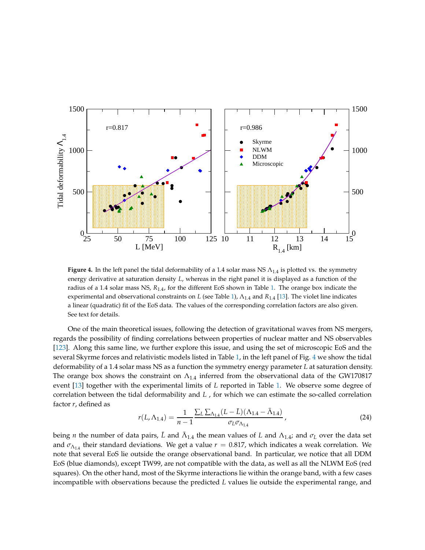<span id="page-12-0"></span>

**Figure 4.** In the left panel the tidal deformability of a 1.4 solar mass NS  $\Lambda_{1.4}$  is plotted vs. the symmetry energy derivative at saturation density *L*, whereas in the right panel it is displayed as a function of the radius of a 1.4 solar mass NS, *R*1.4, for the different EoS shown in Table [1.](#page-6-0) The orange box indicate the experimental and observational constraints on *L* (see Table [1\)](#page-6-0), Λ1.4 and *R*1.4 [\[13](#page-16-12)]. The violet line indicates a linear (quadratic) fit of the EoS data. The values of the corresponding correlation factors are also given. See text for details.

One of the main theoretical issues, following the detection of gravitational waves from NS mergers, regards the possibility of finding correlations between properties of nuclear matter and NS observables [\[123\]](#page-21-10). Along this same line, we further explore this issue, and using the set of microscopic EoS and the several Skyrme forces and relativistic models listed in Table [1,](#page-6-0) in the left panel of Fig. [4](#page-12-0) we show the tidal deformability of a 1.4 solar mass NS as a function the symmetry energy parameter *L* at saturation density. The orange box shows the constraint on  $\Lambda_{1,4}$  inferred from the observational data of the GW170817 event [\[13\]](#page-16-12) together with the experimental limits of *L* reported in Table [1.](#page-6-0) We observe some degree of correlation between the tidal deformability and *L* , for which we can estimate the so-called correlation factor *r*, defined as

$$
r(L, \Lambda_{1.4}) = \frac{1}{n-1} \frac{\sum_{L} \sum_{\Lambda_{1.4}} (L - \bar{L}) (\Lambda_{1.4} - \bar{\Lambda}_{1.4})}{\sigma_L \sigma_{\Lambda_{1.4}}},
$$
(24)

being *n* the number of data pairs,  $\bar{L}$  and  $\bar{\Lambda}_{1.4}$  the mean values of *L* and  $\Lambda_{1.4}$ ; and  $\sigma_L$  over the data set and  $\sigma_{\Lambda_{1,4}}$  their standard deviations. We get a value  $r = 0.817$ , which indicates a weak correlation. We note that several EoS lie outside the orange observational band. In particular, we notice that all DDM EoS (blue diamonds), except TW99, are not compatible with the data, as well as all the NLWM EoS (red squares). On the other hand, most of the Skyrme interactions lie within the orange band, with a few cases incompatible with observations because the predicted *L* values lie outside the experimental range, and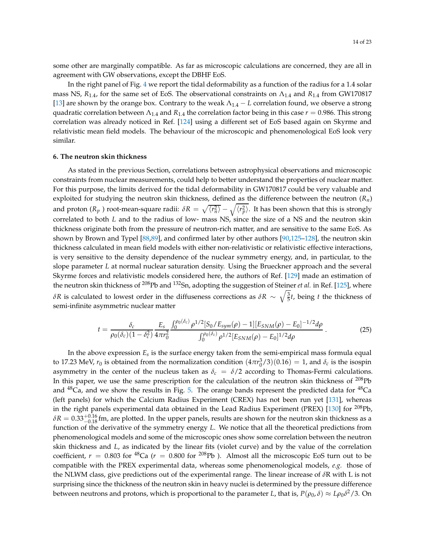some other are marginally compatible. As far as microscopic calculations are concerned, they are all in agreement with GW observations, except the DBHF EoS.

In the right panel of Fig. [4](#page-12-0) we report the tidal deformability as a function of the radius for a 1.4 solar mass NS,  $R_{1,4}$ , for the same set of EoS. The observational constraints on  $\Lambda_{1,4}$  and  $R_{1,4}$  from GW170817 [\[13\]](#page-16-12) are shown by the orange box. Contrary to the weak  $\Lambda_{1,4} - L$  correlation found, we observe a strong quadratic correlation between  $\Lambda_{1,4}$  and  $R_{1,4}$  the correlation factor being in this case  $r = 0.986$ . This strong correlation was already noticed in Ref. [\[124](#page-21-11)] using a different set of EoS based again on Skyrme and relativistic mean field models. The behaviour of the microscopic and phenomenological EoS look very similar.

#### <span id="page-13-0"></span>**6. The neutron skin thickness**

As stated in the previous Section, correlations between astrophysical observations and microscopic constraints from nuclear measurements, could help to better understand the properties of nuclear matter. For this purpose, the limits derived for the tidal deformability in GW170817 could be very valuable and exploited for studying the neutron skin thickness, defined as the difference between the neutron (*Rn*) and proton ( $R_p$  ) root-mean-square radii:  $\delta R = \sqrt{\langle r_n^2\rangle} - \sqrt{\langle r_p^2\rangle}$ . It has been shown that this is strongly correlated to both *L* and to the radius of low- mass NS, since the size of a NS and the neutron skin thickness originate both from the pressure of neutron-rich matter, and are sensitive to the same EoS. As shown by Brown and Typel [\[88](#page-20-2)[,89\]](#page-20-16), and confirmed later by other authors [\[90](#page-20-17)[,125](#page-21-12)[–128\]](#page-21-13), the neutron skin thickness calculated in mean field models with either non-relativistic or relativistic effective interactions, is very sensitive to the density dependence of the nuclear symmetry energy, and, in particular, to the slope parameter *L* at normal nuclear saturation density. Using the Brueckner approach and the several Skyrme forces and relativistic models considered here, the authors of Ref. [\[129\]](#page-21-14) made an estimation of the neutron skin thickness of <sup>208</sup>Pb and <sup>132</sup>Sn, adopting the suggestion of Steiner *et al.* in Ref. [\[125\]](#page-21-12), where *δR* is calculated to lowest order in the diffuseness corrections as  $\delta R \sim \sqrt{\frac{3}{5}}t$ , being *t* the thickness of semi-infinite asymmetric nuclear matter

<span id="page-13-1"></span>
$$
t = \frac{\delta_c}{\rho_0(\delta_c)(1-\delta_c^2)} \frac{E_s}{4\pi r_0^2} \frac{\int_0^{\rho_0(\delta_c)} \rho^{1/2} [S_0/E_{sym}(\rho) - 1][E_{SNM}(\rho) - E_0]^{-1/2} d\rho}{\int_0^{\rho_0(\delta_c)} \rho^{1/2} [E_{SNM}(\rho) - E_0]^{1/2} d\rho} \,. \tag{25}
$$

In the above expression *E<sup>s</sup>* is the surface energy taken from the semi-empirical mass formula equal to 17.23 MeV,  $r_0$  is obtained from the normalization condition  $(4\pi r_0^3/3)(0.16) = 1$ , and  $\delta_c$  is the isospin asymmetry in the center of the nucleus taken as  $\delta_c = \delta/2$  according to Thomas-Fermi calculations. In this paper, we use the same prescription for the calculation of the neutron skin thickness of <sup>208</sup>Pb and  $^{48}Ca$ , and we show the results in Fig. [5.](#page-14-0) The orange bands represent the predicted data for  $^{48}Ca$ (left panels) for which the Calcium Radius Experiment (CREX) has not been run yet [\[131\]](#page-22-0), whereas in the right panels experimental data obtained in the Lead Radius Experiment (PREX) [\[130\]](#page-22-1) for <sup>208</sup>Pb,  $\delta R = 0.33^{+0.16}_{-0.18}$  fm, are plotted. In the upper panels, results are shown for the neutron skin thickness as a function of the derivative of the symmetry energy *L*. We notice that all the theoretical predictions from phenomenological models and some of the microscopic ones show some correlation between the neutron skin thickness and *L*, as indicated by the linear fits (violet curve) and by the value of the correlation coefficient,  $r = 0.803$  for <sup>48</sup>Ca ( $r = 0.800$  for <sup>208</sup>Pb). Almost all the microscopic EoS turn out to be compatible with the PREX experimental data, whereas some phenomenological models, *e.g.* those of the NLWM class, give predictions out of the experimental range. The linear increase of *δ*R with L is not surprising since the thickness of the neutron skin in heavy nuclei is determined by the pressure difference between neutrons and protons, which is proportional to the parameter *L*, that is,  $P(\rho_0,\delta)\approx L\rho_0\delta^2/3$ . On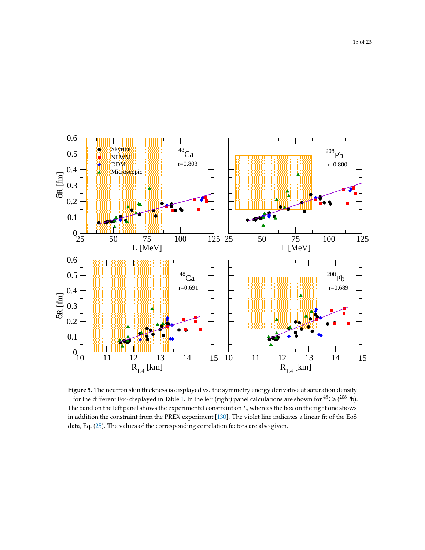<span id="page-14-0"></span>

**Figure 5.** The neutron skin thickness is displayed vs. the symmetry energy derivative at saturation density L for the different EoS displayed in Table [1.](#page-6-0) In the left (right) panel calculations are shown for <sup>48</sup>Ca (<sup>208</sup>Pb). The band on the left panel shows the experimental constraint on *L*, whereas the box on the right one shows in addition the constraint from the PREX experiment [\[130](#page-22-1)]. The violet line indicates a linear fit of the EoS data, Eq. [\(25\)](#page-13-1). The values of the corresponding correlation factors are also given.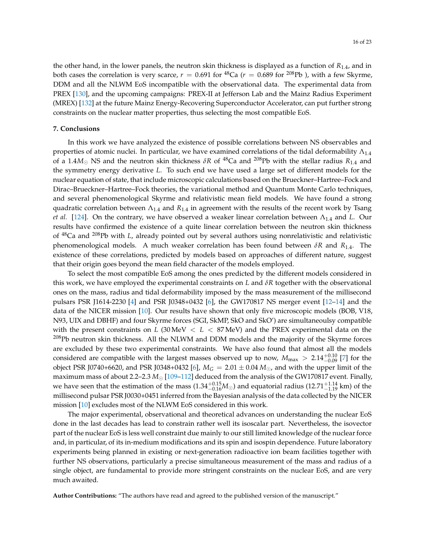the other hand, in the lower panels, the neutron skin thickness is displayed as a function of  $R_{1,4}$ , and in both cases the correlation is very scarce,  $r = 0.691$  for <sup>48</sup>Ca ( $r = 0.689$  for <sup>208</sup>Pb), with a few Skyrme, DDM and all the NLWM EoS incompatible with the observational data. The experimental data from PREX [\[130](#page-22-1)], and the upcoming campaigns: PREX-II at Jefferson Lab and the Mainz Radius Experiment (MREX) [\[132](#page-22-2)] at the future Mainz Energy-Recovering Superconductor Accelerator, can put further strong constraints on the nuclear matter properties, thus selecting the most compatible EoS.

### <span id="page-15-0"></span>**7. Conclusions**

In this work we have analyzed the existence of possible correlations between NS observables and properties of atomic nuclei. In particular, we have examined correlations of the tidal deformability  $\Lambda_{1.4}$ of a 1.4 $M_{\odot}$  NS and the neutron skin thickness  $\delta R$  of <sup>48</sup>Ca and <sup>208</sup>Pb with the stellar radius  $R_{1.4}$  and the symmetry energy derivative *L*. To such end we have used a large set of different models for the nuclear equation of state, that include microscopic calculations based on the Brueckner–Hartree–Fock and Dirac–Brueckner–Hartree–Fock theories, the variational method and Quantum Monte Carlo techniques, and several phenomenological Skyrme and relativistic mean field models. We have found a strong quadratic correlation between  $\Lambda_{1.4}$  and  $R_{1.4}$  in agreement with the results of the recent work by Tsang *et al.* [\[124\]](#page-21-11). On the contrary, we have observed a weaker linear correlation between Λ1.4 and *L*. Our results have confirmed the existence of a quite linear correlation between the neutron skin thickness of <sup>48</sup>Ca and <sup>208</sup>Pb with *L*, already pointed out by several authors using nonrelativistic and relativistic phenomenological models. A much weaker correlation has been found between *δR* and *R*1.4. The existence of these correlations, predicted by models based on approaches of different nature, suggest that their origin goes beyond the mean field character of the models employed.

To select the most compatible EoS among the ones predicted by the different models considered in this work, we have employed the experimental constraints on *L* and *δR* together with the observational ones on the mass, radius and tidal deformability imposed by the mass measurement of the millisecond pulsars PSR J1614-2230 [\[4](#page-16-18)] and PSR J0348+0432 [\[6\]](#page-16-17), the GW170817 NS merger event [\[12](#page-16-8)[–14\]](#page-16-9) and the data of the NICER mission [\[10](#page-16-6)]. Our results have shown that only five microscopic models (BOB, V18, N93, UIX and DBHF) and four Skyrme forces (SGI, SkMP, SkO and SkO') are simultaneoulsy compatible with the present constraints on *L* (30 MeV < *L* < 87 MeV) and the PREX experimental data on the <sup>208</sup>Pb neutron skin thickness. All the NLWM and DDM models and the majority of the Skyrme forces are excluded by these two experimental constraints. We have also found that almost all the models considered are compatible with the largest masses observed up to now,  $M_{\rm max} > 2.14_{-0.09}^{+0.10}$  [\[7](#page-16-3)] for the object PSR J0740+6620, and PSR J0348+0432 [\[6\]](#page-16-17),  $M_G = 2.01 \pm 0.04 M_{\odot}$ , and with the upper limit of the maximum mass of about 2.2–2.3  $M_{\odot}$  [\[109](#page-21-1)[–112\]](#page-21-2) deduced from the analysis of the GW170817 event. Finally, we have seen that the estimation of the mass  $(1.34^{+0.15}_{-0.16}M_{\odot})$  and equatorial radius  $(12.71^{+1.14}_{-1.19}$  km) of the millisecond pulsar PSR J0030+0451 inferred from the Bayesian analysis of the data collected by the NICER mission [\[10\]](#page-16-6) excludes most of the NLWM EoS considered in this work.

The major experimental, observational and theoretical advances on understanding the nuclear EoS done in the last decades has lead to constrain rather well its isoscalar part. Nevertheless, the isovector part of the nuclear EoS is less well constraint due mainly to our still limited knowledge of the nuclear force and, in particular, of its in-medium modifications and its spin and isospin dependence. Future laboratory experiments being planned in existing or next-generation radioactive ion beam facilities together with further NS observations, particularly a precise simultaneous measurement of the mass and radius of a single object, are fundamental to provide more stringent constraints on the nuclear EoS, and are very much awaited.

**Author Contributions:** "The authors have read and agreed to the published version of the manuscript."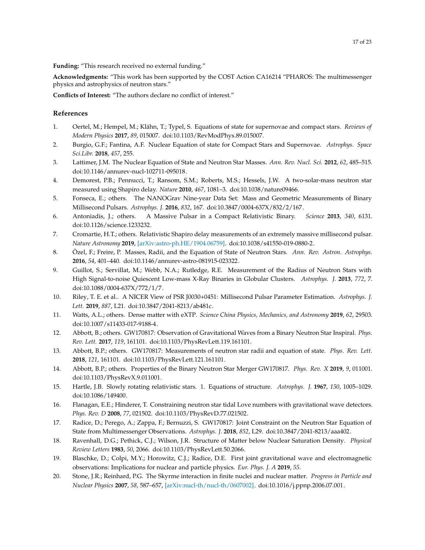**Funding:** "This research received no external funding."

**Acknowledgments:** "This work has been supported by the COST Action CA16214 "PHAROS: The multimessenger physics and astrophysics of neutron stars."

**Conflicts of Interest:** "The authors declare no conflict of interest."

## **References**

- <span id="page-16-0"></span>1. Oertel, M.; Hempel, M.; Klähn, T.; Typel, S. Equations of state for supernovae and compact stars. *Reviews of Modern Physics* **2017**, *89*, 015007. doi[:10.1103/RevModPhys.89.015007.](https://doi.org/10.1103/RevModPhys.89.015007)
- <span id="page-16-1"></span>2. Burgio, G.F.; Fantina, A.F. Nuclear Equation of state for Compact Stars and Supernovae. *Astrophys. Space Sci.Libr.* **2018**, *457*, 255.
- <span id="page-16-2"></span>3. Lattimer, J.M. The Nuclear Equation of State and Neutron Star Masses. *Ann. Rev. Nucl. Sci.* **2012**, *62*, 485–515. doi[:10.1146/annurev-nucl-102711-095018.](https://doi.org/10.1146/annurev-nucl-102711-095018)
- <span id="page-16-18"></span>4. Demorest, P.B.; Pennucci, T.; Ransom, S.M.; Roberts, M.S.; Hessels, J.W. A two-solar-mass neutron star measured using Shapiro delay. *Nature* **2010**, *467*, 1081–3. doi[:10.1038/nature09466.](https://doi.org/10.1038/nature09466)
- 5. Fonseca, E.; others. The NANOGrav Nine-year Data Set: Mass and Geometric Measurements of Binary Millisecond Pulsars. *Astrophys. J.* **2016**, *832*, 167. doi[:10.3847/0004-637X/832/2/167.](https://doi.org/10.3847/0004-637X/832/2/167)
- <span id="page-16-17"></span>6. Antoniadis, J.; others. A Massive Pulsar in a Compact Relativistic Binary. *Science* **2013**, *340*, 6131. doi[:10.1126/science.1233232.](https://doi.org/10.1126/science.1233232)
- <span id="page-16-3"></span>7. Cromartie, H.T.; others. Relativistic Shapiro delay measurements of an extremely massive millisecond pulsar. *Nature Astronomy* **2019**, [\[arXiv:astro-ph.HE/1904.06759\].](http://xxx.lanl.gov/abs/1904.06759) doi[:10.1038/s41550-019-0880-2.](https://doi.org/10.1038/s41550-019-0880-2)
- <span id="page-16-4"></span>8. Özel, F.; Freire, P. Masses, Radii, and the Equation of State of Neutron Stars. *Ann. Rev. Astron. Astrophys.* **2016**, *54*, 401–440. doi[:10.1146/annurev-astro-081915-023322.](https://doi.org/10.1146/annurev-astro-081915-023322)
- <span id="page-16-5"></span>9. Guillot, S.; Servillat, M.; Webb, N.A.; Rutledge, R.E. Measurement of the Radius of Neutron Stars with High Signal-to-noise Quiescent Low-mass X-Ray Binaries in Globular Clusters. *Astrophys. J.* **2013**, *772*, 7. doi[:10.1088/0004-637X/772/1/7.](https://doi.org/10.1088/0004-637X/772/1/7)
- <span id="page-16-6"></span>10. Riley, T. E. et al.. A NICER View of PSR J0030+0451: Millisecond Pulsar Parameter Estimation. *Astrophys. J. Lett.* **2019**, *887*, L21. doi[:10.3847/2041-8213/ab481c.](https://doi.org/10.3847/2041-8213/ab481c)
- <span id="page-16-7"></span>11. Watts, A.L.; others. Dense matter with eXTP. *Science China Physics, Mechanics, and Astronomy* **2019**, *62*, 29503. doi[:10.1007/s11433-017-9188-4.](https://doi.org/10.1007/s11433-017-9188-4)
- <span id="page-16-8"></span>12. Abbott, B.; others. GW170817: Observation of Gravitational Waves from a Binary Neutron Star Inspiral. *Phys. Rev. Lett.* **2017**, *119*, 161101. doi[:10.1103/PhysRevLett.119.161101.](https://doi.org/10.1103/PhysRevLett.119.161101)
- <span id="page-16-12"></span>13. Abbott, B.P.; others. GW170817: Measurements of neutron star radii and equation of state. *Phys. Rev. Lett.* **2018**, *121*, 161101. doi[:10.1103/PhysRevLett.121.161101.](https://doi.org/10.1103/PhysRevLett.121.161101)
- <span id="page-16-9"></span>14. Abbott, B.P.; others. Properties of the Binary Neutron Star Merger GW170817. *Phys. Rev. X* **2019**, *9*, 011001. doi[:10.1103/PhysRevX.9.011001.](https://doi.org/10.1103/PhysRevX.9.011001)
- <span id="page-16-10"></span>15. Hartle, J.B. Slowly rotating relativistic stars. 1. Equations of structure. *Astrophys. J.* **1967**, *150*, 1005–1029. doi[:10.1086/149400.](https://doi.org/10.1086/149400)
- <span id="page-16-11"></span>16. Flanagan, E.E.; Hinderer, T. Constraining neutron star tidal Love numbers with gravitational wave detectors. *Phys. Rev. D* **2008**, *77*, 021502. doi[:10.1103/PhysRevD.77.021502.](https://doi.org/10.1103/PhysRevD.77.021502)
- <span id="page-16-13"></span>17. Radice, D.; Perego, A.; Zappa, F.; Bernuzzi, S. GW170817: Joint Constraint on the Neutron Star Equation of State from Multimessenger Observations. *Astrophys. J.* **2018**, *852*, L29. doi[:10.3847/2041-8213/aaa402.](https://doi.org/10.3847/2041-8213/aaa402)
- <span id="page-16-14"></span>18. Ravenhall, D.G.; Pethick, C.J.; Wilson, J.R. Structure of Matter below Nuclear Saturation Density. *Physical Review Letters* **1983**, *50*, 2066. doi[:10.1103/PhysRevLett.50.2066.](https://doi.org/10.1103/PhysRevLett.50.2066)
- <span id="page-16-15"></span>19. Blaschke, D.; Colpi, M.Y.; Horowitz, C.J.; Radice, D.E. First joint gravitational wave and electromagnetic observations: Implications for nuclear and particle physics. *Eur. Phys. J. A* **2019**, *55*.
- <span id="page-16-16"></span>20. Stone, J.R.; Reinhard, P.G. The Skyrme interaction in finite nuclei and nuclear matter. *Progress in Particle and Nuclear Physics* **2007**, *58*, 587–657, [\[arXiv:nucl-th/nucl-th/0607002\].](http://xxx.lanl.gov/abs/nucl-th/0607002) doi[:10.1016/j.ppnp.2006.07.001.](https://doi.org/10.1016/j.ppnp.2006.07.001)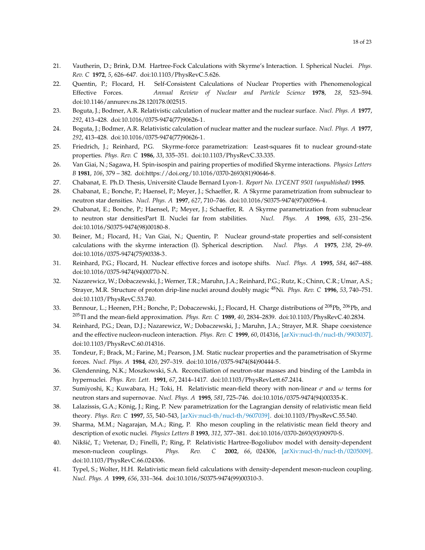- <span id="page-17-0"></span>21. Vautherin, D.; Brink, D.M. Hartree-Fock Calculations with Skyrme's Interaction. I. Spherical Nuclei. *Phys. Rev. C* **1972**, *5*, 626–647. doi[:10.1103/PhysRevC.5.626.](https://doi.org/10.1103/PhysRevC.5.626)
- <span id="page-17-1"></span>22. Quentin, P.; Flocard, H. Self-Consistent Calculations of Nuclear Properties with Phenomenological Effective Forces. *Annual Review of Nuclear and Particle Science* **1978**, *28*, 523–594. doi[:10.1146/annurev.ns.28.120178.002515.](https://doi.org/10.1146/annurev.ns.28.120178.002515)
- <span id="page-17-2"></span>23. Boguta, J.; Bodmer, A.R. Relativistic calculation of nuclear matter and the nuclear surface. *Nucl. Phys. A* **1977**, *292*, 413–428. doi[:10.1016/0375-9474\(77\)90626-1.](https://doi.org/10.1016/0375-9474(77)90626-1)
- <span id="page-17-3"></span>24. Boguta, J.; Bodmer, A.R. Relativistic calculation of nuclear matter and the nuclear surface. *Nucl. Phys. A* **1977**, *292*, 413–428. doi[:10.1016/0375-9474\(77\)90626-1.](https://doi.org/10.1016/0375-9474(77)90626-1)
- <span id="page-17-4"></span>25. Friedrich, J.; Reinhard, P.G. Skyrme-force parametrization: Least-squares fit to nuclear ground-state properties. *Phys. Rev. C* **1986**, *33*, 335–351. doi[:10.1103/PhysRevC.33.335.](https://doi.org/10.1103/PhysRevC.33.335)
- <span id="page-17-5"></span>26. Van Giai, N.; Sagawa, H. Spin-isospin and pairing properties of modified Skyrme interactions. *Physics Letters B* **1981**, *106*, 379 – 382. doi[:https://doi.org/10.1016/0370-2693\(81\)90646-8.](https://doi.org/https://doi.org/10.1016/0370-2693(81)90646-8)
- <span id="page-17-6"></span>27. Chabanat, E. Ph.D. Thesis, Universitè Claude Bernard Lyon-1. *Report No. LYCENT 9501 (unpublished)* **1995**.
- <span id="page-17-7"></span>28. Chabanat, E.; Bonche, P.; Haensel, P.; Meyer, J.; Schaeffer, R. A Skyrme parametrization from subnuclear to neutron star densities. *Nucl. Phys. A* **1997**, *627*, 710–746. doi[:10.1016/S0375-9474\(97\)00596-4.](https://doi.org/10.1016/S0375-9474(97)00596-4)
- <span id="page-17-8"></span>29. Chabanat, E.; Bonche, P.; Haensel, P.; Meyer, J.; Schaeffer, R. A Skyrme parametrization from subnuclear to neutron star densitiesPart II. Nuclei far from stabilities. *Nucl. Phys. A* **1998**, *635*, 231–256. doi[:10.1016/S0375-9474\(98\)00180-8.](https://doi.org/10.1016/S0375-9474(98)00180-8)
- <span id="page-17-9"></span>30. Beiner, M.; Flocard, H.; Van Giai, N.; Quentin, P. Nuclear ground-state properties and self-consistent calculations with the skyrme interaction (I). Spherical description. *Nucl. Phys. A* **1975**, *238*, 29–69. doi[:10.1016/0375-9474\(75\)90338-3.](https://doi.org/10.1016/0375-9474(75)90338-3)
- <span id="page-17-10"></span>31. Reinhard, P.G.; Flocard, H. Nuclear effective forces and isotope shifts. *Nucl. Phys. A* **1995**, *584*, 467–488. doi[:10.1016/0375-9474\(94\)00770-N.](https://doi.org/10.1016/0375-9474(94)00770-N)
- <span id="page-17-11"></span>32. Nazarewicz, W.; Dobaczewski, J.; Werner, T.R.; Maruhn, J.A.; Reinhard, P.G.; Rutz, K.; Chinn, C.R.; Umar, A.S.; Strayer, M.R. Structure of proton drip-line nuclei around doubly magic <sup>48</sup>Ni. *Phys. Rev. C* **1996**, *53*, 740–751. doi[:10.1103/PhysRevC.53.740.](https://doi.org/10.1103/PhysRevC.53.740)
- <span id="page-17-12"></span>33. Bennour, L.; Heenen, P.H.; Bonche, P.; Dobaczewski, J.; Flocard, H. Charge distributions of  $^{208}Pb$ ,  $^{206}Pb$ , and <sup>205</sup>Tl and the mean-field approximation. *Phys. Rev. C* **1989**, *40*, 2834–2839. doi[:10.1103/PhysRevC.40.2834.](https://doi.org/10.1103/PhysRevC.40.2834)
- <span id="page-17-13"></span>34. Reinhard, P.G.; Dean, D.J.; Nazarewicz, W.; Dobaczewski, J.; Maruhn, J.A.; Strayer, M.R. Shape coexistence and the effective nucleon-nucleon interaction. *Phys. Rev. C* **1999**, *60*, 014316, [\[arXiv:nucl-th/nucl-th/9903037\].](http://xxx.lanl.gov/abs/nucl-th/9903037) doi[:10.1103/PhysRevC.60.014316.](https://doi.org/10.1103/PhysRevC.60.014316)
- <span id="page-17-14"></span>35. Tondeur, F.; Brack, M.; Farine, M.; Pearson, J.M. Static nuclear properties and the parametrisation of Skyrme forces. *Nucl. Phys. A* **1984**, *420*, 297–319. doi[:10.1016/0375-9474\(84\)90444-5.](https://doi.org/10.1016/0375-9474(84)90444-5)
- <span id="page-17-15"></span>36. Glendenning, N.K.; Moszkowski, S.A. Reconciliation of neutron-star masses and binding of the Lambda in hypernuclei. *Phys. Rev. Lett.* **1991**, *67*, 2414–1417. doi[:10.1103/PhysRevLett.67.2414.](https://doi.org/10.1103/PhysRevLett.67.2414)
- <span id="page-17-16"></span>37. Sumiyoshi, K.; Kuwabara, H.; Toki, H. Relativistic mean-field theory with non-linear *σ* and *ω* terms for neutron stars and supernovae. *Nucl. Phys. A* **1995**, *581*, 725–746. doi[:10.1016/0375-9474\(94\)00335-K.](https://doi.org/10.1016/0375-9474(94)00335-K)
- <span id="page-17-17"></span>38. Lalazissis, G.A.; König, J.; Ring, P. New parametrization for the Lagrangian density of relativistic mean field theory. *Phys. Rev. C* **1997**, *55*, 540–543, [\[arXiv:nucl-th/nucl-th/9607039\].](http://xxx.lanl.gov/abs/nucl-th/9607039) doi[:10.1103/PhysRevC.55.540.](https://doi.org/10.1103/PhysRevC.55.540)
- <span id="page-17-18"></span>39. Sharma, M.M.; Nagarajan, M.A.; Ring, P. Rho meson coupling in the relativistic mean field theory and description of exotic nuclei. *Physics Letters B* **1993**, *312*, 377–381. doi[:10.1016/0370-2693\(93\)90970-S.](https://doi.org/10.1016/0370-2693(93)90970-S)
- <span id="page-17-19"></span>40. Nikšić, T.; Vretenar, D.; Finelli, P.; Ring, P. Relativistic Hartree-Bogoliubov model with density-dependent meson-nucleon couplings. *Phys. Rev. C* **2002**, *66*, 024306, [\[arXiv:nucl-th/nucl-th/0205009\].](http://xxx.lanl.gov/abs/nucl-th/0205009) doi[:10.1103/PhysRevC.66.024306.](https://doi.org/10.1103/PhysRevC.66.024306)
- <span id="page-17-20"></span>41. Typel, S.; Wolter, H.H. Relativistic mean field calculations with density-dependent meson-nucleon coupling. *Nucl. Phys. A* **1999**, *656*, 331–364. doi[:10.1016/S0375-9474\(99\)00310-3.](https://doi.org/10.1016/S0375-9474(99)00310-3)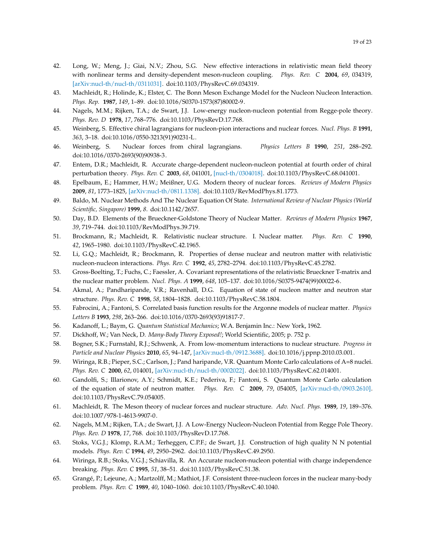- <span id="page-18-0"></span>42. Long, W.; Meng, J.; Giai, N.V.; Zhou, S.G. New effective interactions in relativistic mean field theory with nonlinear terms and density-dependent meson-nucleon coupling. *Phys. Rev. C* **2004**, *69*, 034319, [\[arXiv:nucl-th/nucl-th/0311031\].](http://xxx.lanl.gov/abs/nucl-th/0311031) doi[:10.1103/PhysRevC.69.034319.](https://doi.org/10.1103/PhysRevC.69.034319)
- <span id="page-18-1"></span>43. Machleidt, R.; Holinde, K.; Elster, C. The Bonn Meson Exchange Model for the Nucleon Nucleon Interaction. *Phys. Rep.* **1987**, *149*, 1–89. doi[:10.1016/S0370-1573\(87\)80002-9.](https://doi.org/10.1016/S0370-1573(87)80002-9)
- <span id="page-18-2"></span>44. Nagels, M.M.; Rijken, T.A.; de Swart, J.J. Low-energy nucleon-nucleon potential from Regge-pole theory. *Phys. Rev. D* **1978**, *17*, 768–776. doi[:10.1103/PhysRevD.17.768.](https://doi.org/10.1103/PhysRevD.17.768)
- <span id="page-18-3"></span>45. Weinberg, S. Effective chiral lagrangians for nucleon-pion interactions and nuclear forces. *Nucl. Phys. B* **1991**, *363*, 3–18. doi[:10.1016/0550-3213\(91\)90231-L.](https://doi.org/10.1016/0550-3213(91)90231-L)
- 46. Weinberg, S. Nuclear forces from chiral lagrangians. *Physics Letters B* **1990**, *251*, 288–292. doi[:10.1016/0370-2693\(90\)90938-3.](https://doi.org/10.1016/0370-2693(90)90938-3)
- 47. Entem, D.R.; Machleidt, R. Accurate charge-dependent nucleon-nucleon potential at fourth order of chiral perturbation theory. *Phys. Rev. C* **2003**, *68*, 041001, [\[nucl-th/0304018\].](http://xxx.lanl.gov/abs/nucl-th/0304018) doi[:10.1103/PhysRevC.68.041001.](https://doi.org/10.1103/PhysRevC.68.041001)
- <span id="page-18-4"></span>48. Epelbaum, E.; Hammer, H.W.; Meißner, U.G. Modern theory of nuclear forces. *Reviews of Modern Physics* **2009**, *81*, 1773–1825, [\[arXiv:nucl-th/0811.1338\].](http://xxx.lanl.gov/abs/0811.1338) doi[:10.1103/RevModPhys.81.1773.](https://doi.org/10.1103/RevModPhys.81.1773)
- <span id="page-18-5"></span>49. Baldo, M. Nuclear Methods And The Nuclear Equation Of State. *International Review of Nuclear Physics (World Scientific, Singapore)* **1999**, *8*. doi[:10.1142/2657.](https://doi.org/10.1142/2657)
- <span id="page-18-6"></span>50. Day, B.D. Elements of the Brueckner-Goldstone Theory of Nuclear Matter. *Reviews of Modern Physics* **1967**, *39*, 719–744. doi[:10.1103/RevModPhys.39.719.](https://doi.org/10.1103/RevModPhys.39.719)
- <span id="page-18-7"></span>51. Brockmann, R.; Machleidt, R. Relativistic nuclear structure. I. Nuclear matter. *Phys. Rev. C* **1990**, *42*, 1965–1980. doi[:10.1103/PhysRevC.42.1965.](https://doi.org/10.1103/PhysRevC.42.1965)
- 52. Li, G.Q.; Machleidt, R.; Brockmann, R. Properties of dense nuclear and neutron matter with relativistic nucleon-nucleon interactions. *Phys. Rev. C* **1992**, *45*, 2782–2794. doi[:10.1103/PhysRevC.45.2782.](https://doi.org/10.1103/PhysRevC.45.2782)
- <span id="page-18-8"></span>53. Gross-Boelting, T.; Fuchs, C.; Faessler, A. Covariant representations of the relativistic Brueckner T-matrix and the nuclear matter problem. *Nucl. Phys. A* **1999**, *648*, 105–137. doi[:10.1016/S0375-9474\(99\)00022-6.](https://doi.org/10.1016/S0375-9474(99)00022-6)
- <span id="page-18-9"></span>54. Akmal, A.; Pandharipande, V.R.; Ravenhall, D.G. Equation of state of nucleon matter and neutron star structure. *Phys. Rev. C* **1998**, *58*, 1804–1828. doi[:10.1103/PhysRevC.58.1804.](https://doi.org/10.1103/PhysRevC.58.1804)
- <span id="page-18-10"></span>55. Fabrocini, A.; Fantoni, S. Correlated basis function results for the Argonne models of nuclear matter. *Physics Letters B* **1993**, *298*, 263–266. doi[:10.1016/0370-2693\(93\)91817-7.](https://doi.org/10.1016/0370-2693(93)91817-7)
- <span id="page-18-11"></span>56. Kadanoff, L.; Baym, G. *Quantum Statistical Mechanics*; W.A. Benjamin Inc.: New York, 1962.
- <span id="page-18-12"></span>57. Dickhoff, W.; Van Neck, D. *Many-Body Theory Exposed!*; World Scientific, 2005; p. 752 p.
- <span id="page-18-13"></span>58. Bogner, S.K.; Furnstahl, R.J.; Schwenk, A. From low-momentum interactions to nuclear structure. *Progress in Particle and Nuclear Physics* **2010**, *65*, 94–147, [\[arXiv:nucl-th/0912.3688\].](http://xxx.lanl.gov/abs/0912.3688) doi[:10.1016/j.ppnp.2010.03.001.](https://doi.org/10.1016/j.ppnp.2010.03.001)
- <span id="page-18-14"></span>59. Wiringa, R.B.; Pieper, S.C.; Carlson, J.; Pand haripande, V.R. Quantum Monte Carlo calculations of A=8 nuclei. *Phys. Rev. C* **2000**, *62*, 014001, [\[arXiv:nucl-th/nucl-th/0002022\].](http://xxx.lanl.gov/abs/nucl-th/0002022) doi[:10.1103/PhysRevC.62.014001.](https://doi.org/10.1103/PhysRevC.62.014001)
- <span id="page-18-15"></span>60. Gandolfi, S.; Illarionov, A.Y.; Schmidt, K.E.; Pederiva, F.; Fantoni, S. Quantum Monte Carlo calculation of the equation of state of neutron matter. *Phys. Rev. C* **2009**, *79*, 054005, [\[arXiv:nucl-th/0903.2610\].](http://xxx.lanl.gov/abs/0903.2610) doi[:10.1103/PhysRevC.79.054005.](https://doi.org/10.1103/PhysRevC.79.054005)
- <span id="page-18-16"></span>61. Machleidt, R. The Meson theory of nuclear forces and nuclear structure. *Adv. Nucl. Phys.* **1989**, *19*, 189–376. doi[:10.1007/978-1-4613-9907-0.](https://doi.org/10.1007/978-1-4613-9907-0)
- <span id="page-18-17"></span>62. Nagels, M.M.; Rijken, T.A.; de Swart, J.J. A Low-Energy Nucleon-Nucleon Potential from Regge Pole Theory. *Phys. Rev. D* **1978**, *17*, 768. doi[:10.1103/PhysRevD.17.768.](https://doi.org/10.1103/PhysRevD.17.768)
- <span id="page-18-18"></span>63. Stoks, V.G.J.; Klomp, R.A.M.; Terheggen, C.P.F.; de Swart, J.J. Construction of high quality N N potential models. *Phys. Rev. C* **1994**, *49*, 2950–2962. doi[:10.1103/PhysRevC.49.2950.](https://doi.org/10.1103/PhysRevC.49.2950)
- <span id="page-18-19"></span>64. Wiringa, R.B.; Stoks, V.G.J.; Schiavilla, R. An Accurate nucleon-nucleon potential with charge independence breaking. *Phys. Rev. C* **1995**, *51*, 38–51. doi[:10.1103/PhysRevC.51.38.](https://doi.org/10.1103/PhysRevC.51.38)
- <span id="page-18-20"></span>65. Grangé, P.; Lejeune, A.; Martzolff, M.; Mathiot, J.F. Consistent three-nucleon forces in the nuclear many-body problem. *Phys. Rev. C* **1989**, *40*, 1040–1060. doi[:10.1103/PhysRevC.40.1040.](https://doi.org/10.1103/PhysRevC.40.1040)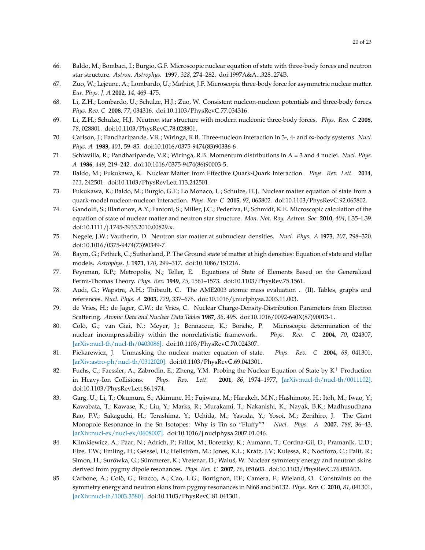- <span id="page-19-2"></span>66. Baldo, M.; Bombaci, I.; Burgio, G.F. Microscopic nuclear equation of state with three-body forces and neutron star structure. *Astron. Astrophys.* **1997**, *328*, 274–282. doi[:1997A&A...328..274B.](https://doi.org/1997A&A...328..274B)
- 67. Zuo, W.; Lejeune, A.; Lombardo, U.; Mathiot, J.F. Microscopic three-body force for asymmetric nuclear matter. *Eur. Phys. J. A* **2002**, *14*, 469–475.
- <span id="page-19-0"></span>68. Li, Z.H.; Lombardo, U.; Schulze, H.J.; Zuo, W. Consistent nucleon-nucleon potentials and three-body forces. *Phys. Rev. C* **2008**, *77*, 034316. doi[:10.1103/PhysRevC.77.034316.](https://doi.org/10.1103/PhysRevC.77.034316)
- <span id="page-19-1"></span>69. Li, Z.H.; Schulze, H.J. Neutron star structure with modern nucleonic three-body forces. *Phys. Rev. C* **2008**, *78*, 028801. doi[:10.1103/PhysRevC.78.028801.](https://doi.org/10.1103/PhysRevC.78.028801)
- <span id="page-19-3"></span>70. Carlson, J.; Pandharipande, V.R.; Wiringa, R.B. Three-nucleon interaction in 3-, 4- and ∞-body systems. *Nucl. Phys. A* **1983**, *401*, 59–85. doi[:10.1016/0375-9474\(83\)90336-6.](https://doi.org/10.1016/0375-9474(83)90336-6)
- <span id="page-19-4"></span>71. Schiavilla, R.; Pandharipande, V.R.; Wiringa, R.B. Momentum distributions in A = 3 and 4 nuclei. *Nucl. Phys. A* **1986**, *449*, 219–242. doi[:10.1016/0375-9474\(86\)90003-5.](https://doi.org/10.1016/0375-9474(86)90003-5)
- <span id="page-19-5"></span>72. Baldo, M.; Fukukawa, K. Nuclear Matter from Effective Quark-Quark Interaction. *Phys. Rev. Lett.* **2014**, *113*, 242501. doi[:10.1103/PhysRevLett.113.242501.](https://doi.org/10.1103/PhysRevLett.113.242501)
- <span id="page-19-6"></span>73. Fukukawa, K.; Baldo, M.; Burgio, G.F.; Lo Monaco, L.; Schulze, H.J. Nuclear matter equation of state from a quark-model nucleon-nucleon interaction. *Phys. Rev. C* **2015**, *92*, 065802. doi[:10.1103/PhysRevC.92.065802.](https://doi.org/10.1103/PhysRevC.92.065802)
- <span id="page-19-7"></span>74. Gandolfi, S.; Illarionov, A.Y.; Fantoni, S.; Miller, J.C.; Pederiva, F.; Schmidt, K.E. Microscopic calculation of the equation of state of nuclear matter and neutron star structure. *Mon. Not. Roy. Astron. Soc.* **2010**, *404*, L35–L39. doi[:10.1111/j.1745-3933.2010.00829.x.](https://doi.org/10.1111/j.1745-3933.2010.00829.x)
- <span id="page-19-8"></span>75. Negele, J.W.; Vautherin, D. Neutron star matter at subnuclear densities. *Nucl. Phys. A* **1973**, *207*, 298–320. doi[:10.1016/0375-9474\(73\)90349-7.](https://doi.org/10.1016/0375-9474(73)90349-7)
- <span id="page-19-9"></span>76. Baym, G.; Pethick, C.; Sutherland, P. The Ground state of matter at high densities: Equation of state and stellar models. *Astrophys. J.* **1971**, *170*, 299–317. doi[:10.1086/151216.](https://doi.org/10.1086/151216)
- <span id="page-19-10"></span>77. Feynman, R.P.; Metropolis, N.; Teller, E. Equations of State of Elements Based on the Generalized Fermi-Thomas Theory. *Phys. Rev.* **1949**, *75*, 1561–1573. doi[:10.1103/PhysRev.75.1561.](https://doi.org/10.1103/PhysRev.75.1561)
- <span id="page-19-11"></span>78. Audi, G.; Wapstra, A.H.; Thibault, C. The AME2003 atomic mass evaluation . (II). Tables, graphs and references. *Nucl. Phys. A* **2003**, *729*, 337–676. doi[:10.1016/j.nuclphysa.2003.11.003.](https://doi.org/10.1016/j.nuclphysa.2003.11.003)
- <span id="page-19-12"></span>79. de Vries, H.; de Jager, C.W.; de Vries, C. Nuclear Charge-Density-Distribution Parameters from Electron Scattering. *Atomic Data and Nuclear Data Tables* **1987**, *36*, 495. doi[:10.1016/0092-640X\(87\)90013-1.](https://doi.org/10.1016/0092-640X(87)90013-1)
- <span id="page-19-13"></span>80. Colò, G.; van Giai, N.; Meyer, J.; Bennaceur, K.; Bonche, P. Microscopic determination of the nuclear incompressibility within the nonrelativistic framework. *Phys. Rev. C* **2004**, *70*, 024307, [\[arXiv:nucl-th/nucl-th/0403086\].](http://xxx.lanl.gov/abs/nucl-th/0403086) doi[:10.1103/PhysRevC.70.024307.](https://doi.org/10.1103/PhysRevC.70.024307)
- <span id="page-19-14"></span>81. Piekarewicz, J. Unmasking the nuclear matter equation of state. *Phys. Rev. C* **2004**, *69*, 041301, [\[arXiv:astro-ph/nucl-th/0312020\].](http://xxx.lanl.gov/abs/nucl-th/0312020) doi[:10.1103/PhysRevC.69.041301.](https://doi.org/10.1103/PhysRevC.69.041301)
- <span id="page-19-15"></span>82. Fuchs, C.; Faessler, A.; Zabrodin, E.; Zheng, Y.M. Probing the Nuclear Equation of State by  $K^+$  Production in Heavy-Ion Collisions. *Phys. Rev. Lett.* **2001**, *86*, 1974–1977, [\[arXiv:nucl-th/nucl-th/0011102\].](http://xxx.lanl.gov/abs/nucl-th/0011102) doi[:10.1103/PhysRevLett.86.1974.](https://doi.org/10.1103/PhysRevLett.86.1974)
- <span id="page-19-16"></span>83. Garg, U.; Li, T.; Okumura, S.; Akimune, H.; Fujiwara, M.; Harakeh, M.N.; Hashimoto, H.; Itoh, M.; Iwao, Y.; Kawabata, T.; Kawase, K.; Liu, Y.; Marks, R.; Murakami, T.; Nakanishi, K.; Nayak, B.K.; Madhusudhana Rao, P.V.; Sakaguchi, H.; Terashima, Y.; Uchida, M.; Yasuda, Y.; Yosoi, M.; Zenihiro, J. The Giant Monopole Resonance in the Sn Isotopes: Why is Tin so "Fluffy"? *Nucl. Phys. A* **2007**, *788*, 36–43, [\[arXiv:nucl-ex/nucl-ex/0608007\].](http://xxx.lanl.gov/abs/nucl-ex/0608007) doi[:10.1016/j.nuclphysa.2007.01.046.](https://doi.org/10.1016/j.nuclphysa.2007.01.046)
- <span id="page-19-17"></span>84. Klimkiewicz, A.; Paar, N.; Adrich, P.; Fallot, M.; Boretzky, K.; Aumann, T.; Cortina-Gil, D.; Pramanik, U.D.; Elze, T.W.; Emling, H.; Geissel, H.; Hellström, M.; Jones, K.L.; Kratz, J.V.; Kulessa, R.; Nociforo, C.; Palit, R.; Simon, H.; Surówka, G.; Sümmerer, K.; Vretenar, D.; Waluś, W. Nuclear symmetry energy and neutron skins derived from pygmy dipole resonances. *Phys. Rev. C* **2007**, *76*, 051603. doi[:10.1103/PhysRevC.76.051603.](https://doi.org/10.1103/PhysRevC.76.051603)
- <span id="page-19-18"></span>85. Carbone, A.; Colò, G.; Bracco, A.; Cao, L.G.; Bortignon, P.F.; Camera, F.; Wieland, O. Constraints on the symmetry energy and neutron skins from pygmy resonances in Ni68 and Sn132. *Phys. Rev. C* **2010**, *81*, 041301, [\[arXiv:nucl-th/1003.3580\].](http://xxx.lanl.gov/abs/1003.3580) doi[:10.1103/PhysRevC.81.041301.](https://doi.org/10.1103/PhysRevC.81.041301)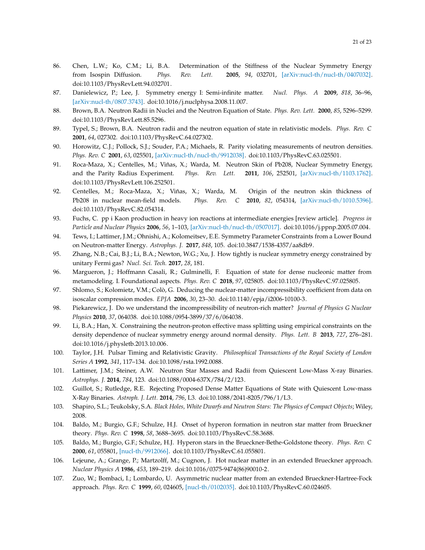- <span id="page-20-0"></span>86. Chen, L.W.; Ko, C.M.; Li, B.A. Determination of the Stiffness of the Nuclear Symmetry Energy from Isospin Diffusion. *Phys. Rev. Lett.* **2005**, *94*, 032701, [\[arXiv:nucl-th/nucl-th/0407032\].](http://xxx.lanl.gov/abs/nucl-th/0407032) doi[:10.1103/PhysRevLett.94.032701.](https://doi.org/10.1103/PhysRevLett.94.032701)
- <span id="page-20-1"></span>87. Danielewicz, P.; Lee, J. Symmetry energy I: Semi-infinite matter. *Nucl. Phys. A* **2009**, *818*, 36–96, [\[arXiv:nucl-th/0807.3743\].](http://xxx.lanl.gov/abs/0807.3743) doi[:10.1016/j.nuclphysa.2008.11.007.](https://doi.org/10.1016/j.nuclphysa.2008.11.007)
- <span id="page-20-2"></span>88. Brown, B.A. Neutron Radii in Nuclei and the Neutron Equation of State. *Phys. Rev. Lett.* **2000**, *85*, 5296–5299. doi[:10.1103/PhysRevLett.85.5296.](https://doi.org/10.1103/PhysRevLett.85.5296)
- <span id="page-20-16"></span>89. Typel, S.; Brown, B.A. Neutron radii and the neutron equation of state in relativistic models. *Phys. Rev. C* **2001**, *64*, 027302. doi[:10.1103/PhysRevC.64.027302.](https://doi.org/10.1103/PhysRevC.64.027302)
- <span id="page-20-17"></span>90. Horowitz, C.J.; Pollock, S.J.; Souder, P.A.; Michaels, R. Parity violating measurements of neutron densities. *Phys. Rev. C* **2001**, *63*, 025501, [\[arXiv:nucl-th/nucl-th/9912038\].](http://xxx.lanl.gov/abs/nucl-th/9912038) doi[:10.1103/PhysRevC.63.025501.](https://doi.org/10.1103/PhysRevC.63.025501)
- 91. Roca-Maza, X.; Centelles, M.; Viñas, X.; Warda, M. Neutron Skin of Pb208, Nuclear Symmetry Energy, and the Parity Radius Experiment. *Phys. Rev. Lett.* **2011**, *106*, 252501, [\[arXiv:nucl-th/1103.1762\].](http://xxx.lanl.gov/abs/1103.1762) doi[:10.1103/PhysRevLett.106.252501.](https://doi.org/10.1103/PhysRevLett.106.252501)
- <span id="page-20-3"></span>92. Centelles, M.; Roca-Maza, X.; Viñas, X.; Warda, M. Origin of the neutron skin thickness of Pb208 in nuclear mean-field models. *Phys. Rev. C* **2010**, *82*, 054314, [\[arXiv:nucl-th/1010.5396\].](http://xxx.lanl.gov/abs/1010.5396) doi[:10.1103/PhysRevC.82.054314.](https://doi.org/10.1103/PhysRevC.82.054314)
- <span id="page-20-4"></span>93. Fuchs, C. pp i Kaon production in heavy ion reactions at intermediate energies [review article]. *Progress in Particle and Nuclear Physics* **2006**, *56*, 1–103, [\[arXiv:nucl-th/nucl-th/0507017\].](http://xxx.lanl.gov/abs/nucl-th/0507017) doi[:10.1016/j.ppnp.2005.07.004.](https://doi.org/10.1016/j.ppnp.2005.07.004)
- <span id="page-20-5"></span>94. Tews, I.; Lattimer, J.M.; Ohnishi, A.; Kolomeitsev, E.E. Symmetry Parameter Constraints from a Lower Bound on Neutron-matter Energy. *Astrophys. J.* **2017**, *848*, 105. doi[:10.3847/1538-4357/aa8db9.](https://doi.org/10.3847/1538-4357/aa8db9)
- <span id="page-20-6"></span>95. Zhang, N.B.; Cai, B.J.; Li, B.A.; Newton, W.G.; Xu, J. How tightly is nuclear symmetry energy constrained by unitary Fermi gas? *Nucl. Sci. Tech.* **2017**, *28*, 181.
- <span id="page-20-7"></span>96. Margueron, J.; Hoffmann Casali, R.; Gulminelli, F. Equation of state for dense nucleonic matter from metamodeling. I. Foundational aspects. *Phys. Rev. C* **2018**, *97*, 025805. doi[:10.1103/PhysRevC.97.025805.](https://doi.org/10.1103/PhysRevC.97.025805)
- <span id="page-20-8"></span>97. Shlomo, S.; Kolomietz, V.M.; Colò, G. Deducing the nuclear-matter incompressibility coefficient from data on isoscalar compression modes. *EPJA* **2006**, *30*, 23–30. doi[:10.1140/epja/i2006-10100-3.](https://doi.org/10.1140/epja/i2006-10100-3)
- <span id="page-20-9"></span>98. Piekarewicz, J. Do we understand the incompressibility of neutron-rich matter? *Journal of Physics G Nuclear Physics* **2010**, *37*, 064038. doi[:10.1088/0954-3899/37/6/064038.](https://doi.org/10.1088/0954-3899/37/6/064038)
- <span id="page-20-10"></span>99. Li, B.A.; Han, X. Constraining the neutron-proton effective mass splitting using empirical constraints on the density dependence of nuclear symmetry energy around normal density. *Phys. Lett. B* **2013**, *727*, 276–281. doi[:10.1016/j.physletb.2013.10.006.](https://doi.org/10.1016/j.physletb.2013.10.006)
- <span id="page-20-11"></span>100. Taylor, J.H. Pulsar Timing and Relativistic Gravity. *Philosophical Transactions of the Royal Society of London Series A* **1992**, *341*, 117–134. doi[:10.1098/rsta.1992.0088.](https://doi.org/10.1098/rsta.1992.0088)
- <span id="page-20-12"></span>101. Lattimer, J.M.; Steiner, A.W. Neutron Star Masses and Radii from Quiescent Low-Mass X-ray Binaries. *Astrophys. J.* **2014**, *784*, 123. doi[:10.1088/0004-637X/784/2/123.](https://doi.org/10.1088/0004-637X/784/2/123)
- <span id="page-20-13"></span>102. Guillot, S.; Rutledge, R.E. Rejecting Proposed Dense Matter Equations of State with Quiescent Low-mass X-Ray Binaries. *Astroph. J. Lett.* **2014**, *796*, L3. doi[:10.1088/2041-8205/796/1/L3.](https://doi.org/10.1088/2041-8205/796/1/L3)
- <span id="page-20-14"></span>103. Shapiro, S.L.; Teukolsky, S.A. *Black Holes, White Dwarfs and Neutron Stars: The Physics of Compact Objects*; Wiley, 2008.
- <span id="page-20-15"></span>104. Baldo, M.; Burgio, G.F.; Schulze, H.J. Onset of hyperon formation in neutron star matter from Brueckner theory. *Phys. Rev. C* **1998**, *58*, 3688–3695. doi[:10.1103/PhysRevC.58.3688.](https://doi.org/10.1103/PhysRevC.58.3688)
- 105. Baldo, M.; Burgio, G.F.; Schulze, H.J. Hyperon stars in the Brueckner-Bethe-Goldstone theory. *Phys. Rev. C* **2000**, *61*, 055801, [\[nucl-th/9912066\].](http://xxx.lanl.gov/abs/nucl-th/9912066) doi[:10.1103/PhysRevC.61.055801.](https://doi.org/10.1103/PhysRevC.61.055801)
- 106. Lejeune, A.; Grange, P.; Martzolff, M.; Cugnon, J. Hot nuclear matter in an extended Brueckner approach. *Nuclear Physics A* **1986**, *453*, 189–219. doi[:10.1016/0375-9474\(86\)90010-2.](https://doi.org/10.1016/0375-9474(86)90010-2)
- 107. Zuo, W.; Bombaci, I.; Lombardo, U. Asymmetric nuclear matter from an extended Brueckner-Hartree-Fock approach. *Phys. Rev. C* **1999**, *60*, 024605, [\[nucl-th/0102035\].](http://xxx.lanl.gov/abs/nucl-th/0102035) doi[:10.1103/PhysRevC.60.024605.](https://doi.org/10.1103/PhysRevC.60.024605)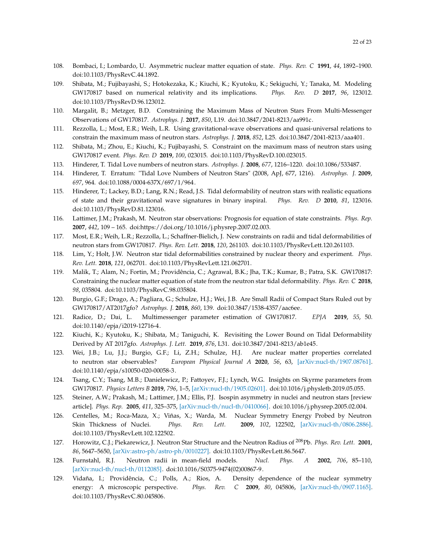- <span id="page-21-0"></span>108. Bombaci, I.; Lombardo, U. Asymmetric nuclear matter equation of state. *Phys. Rev. C* **1991**, *44*, 1892–1900. doi[:10.1103/PhysRevC.44.1892.](https://doi.org/10.1103/PhysRevC.44.1892)
- <span id="page-21-1"></span>109. Shibata, M.; Fujibayashi, S.; Hotokezaka, K.; Kiuchi, K.; Kyutoku, K.; Sekiguchi, Y.; Tanaka, M. Modeling GW170817 based on numerical relativity and its implications. *Phys. Rev. D* **2017**, *96*, 123012. doi[:10.1103/PhysRevD.96.123012.](https://doi.org/10.1103/PhysRevD.96.123012)
- 110. Margalit, B.; Metzger, B.D. Constraining the Maximum Mass of Neutron Stars From Multi-Messenger Observations of GW170817. *Astrophys. J.* **2017**, *850*, L19. doi[:10.3847/2041-8213/aa991c.](https://doi.org/10.3847/2041-8213/aa991c)
- 111. Rezzolla, L.; Most, E.R.; Weih, L.R. Using gravitational-wave observations and quasi-universal relations to constrain the maximum mass of neutron stars. *Astrophys. J.* **2018**, *852*, L25. doi[:10.3847/2041-8213/aaa401.](https://doi.org/10.3847/2041-8213/aaa401)
- <span id="page-21-2"></span>112. Shibata, M.; Zhou, E.; Kiuchi, K.; Fujibayashi, S. Constraint on the maximum mass of neutron stars using GW170817 event. *Phys. Rev. D* **2019**, *100*, 023015. doi[:10.1103/PhysRevD.100.023015.](https://doi.org/10.1103/PhysRevD.100.023015)
- <span id="page-21-3"></span>113. Hinderer, T. Tidal Love numbers of neutron stars. *Astrophys. J.* **2008**, *677*, 1216–1220. doi[:10.1086/533487.](https://doi.org/10.1086/533487)
- 114. Hinderer, T. Erratum: "Tidal Love Numbers of Neutron Stars" (2008, ApJ, 677, 1216). *Astrophys. J.* **2009**, *697*, 964. doi[:10.1088/0004-637X/697/1/964.](https://doi.org/10.1088/0004-637X/697/1/964)
- <span id="page-21-4"></span>115. Hinderer, T.; Lackey, B.D.; Lang, R.N.; Read, J.S. Tidal deformability of neutron stars with realistic equations of state and their gravitational wave signatures in binary inspiral. *Phys. Rev. D* **2010**, *81*, 123016. doi[:10.1103/PhysRevD.81.123016.](https://doi.org/10.1103/PhysRevD.81.123016)
- <span id="page-21-5"></span>116. Lattimer, J.M.; Prakash, M. Neutron star observations: Prognosis for equation of state constraints. *Phys. Rep.* **2007**, *442*, 109 – 165. doi[:https://doi.org/10.1016/j.physrep.2007.02.003.](https://doi.org/https://doi.org/10.1016/j.physrep.2007.02.003)
- <span id="page-21-6"></span>117. Most, E.R.; Weih, L.R.; Rezzolla, L.; Schaffner-Bielich, J. New constraints on radii and tidal deformabilities of neutron stars from GW170817. *Phys. Rev. Lett.* **2018**, *120*, 261103. doi[:10.1103/PhysRevLett.120.261103.](https://doi.org/10.1103/PhysRevLett.120.261103)
- 118. Lim, Y.; Holt, J.W. Neutron star tidal deformabilities constrained by nuclear theory and experiment. *Phys. Rev. Lett.* **2018**, *121*, 062701. doi[:10.1103/PhysRevLett.121.062701.](https://doi.org/10.1103/PhysRevLett.121.062701)
- 119. Malik, T.; Alam, N.; Fortin, M.; Providência, C.; Agrawal, B.K.; Jha, T.K.; Kumar, B.; Patra, S.K. GW170817: Constraining the nuclear matter equation of state from the neutron star tidal deformability. *Phys. Rev. C* **2018**, *98*, 035804. doi[:10.1103/PhysRevC.98.035804.](https://doi.org/10.1103/PhysRevC.98.035804)
- <span id="page-21-7"></span>120. Burgio, G.F.; Drago, A.; Pagliara, G.; Schulze, H.J.; Wei, J.B. Are Small Radii of Compact Stars Ruled out by GW170817/AT2017gfo? *Astrophys. J.* **2018**, *860*, 139. doi[:10.3847/1538-4357/aac6ee.](https://doi.org/10.3847/1538-4357/aac6ee)
- <span id="page-21-8"></span>121. Radice, D.; Dai, L. Multimessenger parameter estimation of GW170817. *EPJA* **2019**, *55*, 50. doi[:10.1140/epja/i2019-12716-4.](https://doi.org/10.1140/epja/i2019-12716-4)
- <span id="page-21-9"></span>122. Kiuchi, K.; Kyutoku, K.; Shibata, M.; Taniguchi, K. Revisiting the Lower Bound on Tidal Deformability Derived by AT 2017gfo. *Astrophys. J. Lett.* **2019**, *876*, L31. doi[:10.3847/2041-8213/ab1e45.](https://doi.org/10.3847/2041-8213/ab1e45)
- <span id="page-21-10"></span>123. Wei, J.B.; Lu, J.J.; Burgio, G.F.; Li, Z.H.; Schulze, H.J. Are nuclear matter properties correlated to neutron star observables? *European Physical Journal A* **2020**, *56*, 63, [\[arXiv:nucl-th/1907.08761\].](http://xxx.lanl.gov/abs/1907.08761) doi[:10.1140/epja/s10050-020-00058-3.](https://doi.org/10.1140/epja/s10050-020-00058-3)
- <span id="page-21-11"></span>124. Tsang, C.Y.; Tsang, M.B.; Danielewicz, P.; Fattoyev, F.J.; Lynch, W.G. Insights on Skyrme parameters from GW170817. *Physics Letters B* **2019**, *796*, 1–5, [\[arXiv:nucl-th/1905.02601\].](http://xxx.lanl.gov/abs/1905.02601) doi[:10.1016/j.physletb.2019.05.055.](https://doi.org/10.1016/j.physletb.2019.05.055)
- <span id="page-21-12"></span>125. Steiner, A.W.; Prakash, M.; Lattimer, J.M.; Ellis, P.J. Isospin asymmetry in nuclei and neutron stars [review article]. *Phys. Rep.* **2005**, *411*, 325–375, [\[arXiv:nucl-th/nucl-th/0410066\].](http://xxx.lanl.gov/abs/nucl-th/0410066) doi[:10.1016/j.physrep.2005.02.004.](https://doi.org/10.1016/j.physrep.2005.02.004)
- 126. Centelles, M.; Roca-Maza, X.; Viñas, X.; Warda, M. Nuclear Symmetry Energy Probed by Neutron Skin Thickness of Nuclei. *Phys. Rev. Lett.* **2009**, *102*, 122502, [\[arXiv:nucl-th/0806.2886\].](http://xxx.lanl.gov/abs/0806.2886) doi[:10.1103/PhysRevLett.102.122502.](https://doi.org/10.1103/PhysRevLett.102.122502)
- 127. Horowitz, C.J.; Piekarewicz, J. Neutron Star Structure and the Neutron Radius of <sup>208</sup>Pb. *Phys. Rev. Lett.* **2001**, *86*, 5647–5650, [\[arXiv:astro-ph/astro-ph/0010227\].](http://xxx.lanl.gov/abs/astro-ph/0010227) doi[:10.1103/PhysRevLett.86.5647.](https://doi.org/10.1103/PhysRevLett.86.5647)
- <span id="page-21-13"></span>128. Furnstahl, R.J. Neutron radii in mean-field models. *Nucl. Phys. A* **2002**, *706*, 85–110, [\[arXiv:nucl-th/nucl-th/0112085\].](http://xxx.lanl.gov/abs/nucl-th/0112085) doi[:10.1016/S0375-9474\(02\)00867-9.](https://doi.org/10.1016/S0375-9474(02)00867-9)
- <span id="page-21-14"></span>129. Vidaña, I.; Providência, C.; Polls, A.; Rios, A. Density dependence of the nuclear symmetry energy: A microscopic perspective. *Phys. Rev. C* **2009**, *80*, 045806, [\[arXiv:nucl-th/0907.1165\].](http://xxx.lanl.gov/abs/0907.1165) doi[:10.1103/PhysRevC.80.045806.](https://doi.org/10.1103/PhysRevC.80.045806)